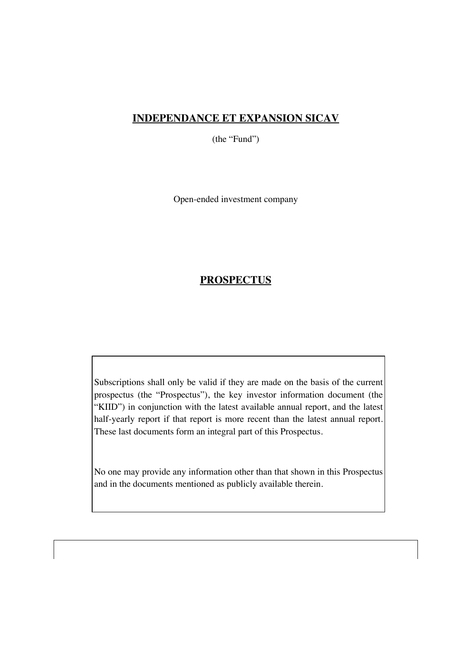# **INDEPENDANCE ET EXPANSION SICAV**

(the "Fund")

Open-ended investment company

# **PROSPECTUS**

Subscriptions shall only be valid if they are made on the basis of the current prospectus (the "Prospectus"), the key investor information document (the "KIID") in conjunction with the latest available annual report, and the latest half-yearly report if that report is more recent than the latest annual report. These last documents form an integral part of this Prospectus.

No one may provide any information other than that shown in this Prospectus and in the documents mentioned as publicly available therein.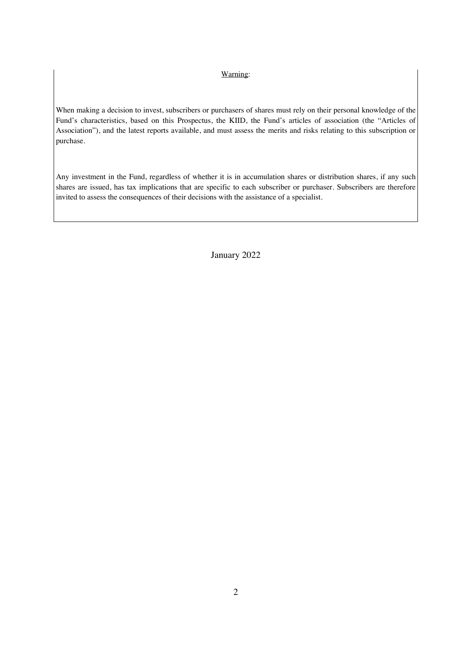### Warning:

When making a decision to invest, subscribers or purchasers of shares must rely on their personal knowledge of the Fund's characteristics, based on this Prospectus, the KIID, the Fund's articles of association (the "Articles of Association"), and the latest reports available, and must assess the merits and risks relating to this subscription or purchase.

Any investment in the Fund, regardless of whether it is in accumulation shares or distribution shares, if any such shares are issued, has tax implications that are specific to each subscriber or purchaser. Subscribers are therefore invited to assess the consequences of their decisions with the assistance of a specialist.

January 2022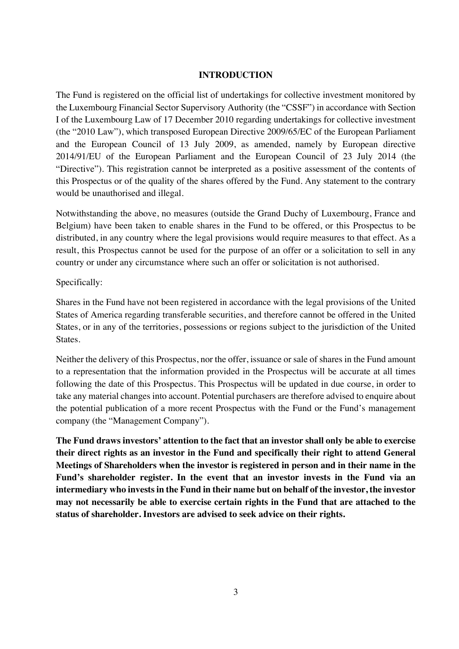## **INTRODUCTION**

The Fund is registered on the official list of undertakings for collective investment monitored by the Luxembourg Financial Sector Supervisory Authority (the "CSSF") in accordance with Section I of the Luxembourg Law of 17 December 2010 regarding undertakings for collective investment (the "2010 Law"), which transposed European Directive 2009/65/EC of the European Parliament and the European Council of 13 July 2009, as amended, namely by European directive 2014/91/EU of the European Parliament and the European Council of 23 July 2014 (the "Directive"). This registration cannot be interpreted as a positive assessment of the contents of this Prospectus or of the quality of the shares offered by the Fund. Any statement to the contrary would be unauthorised and illegal.

Notwithstanding the above, no measures (outside the Grand Duchy of Luxembourg, France and Belgium) have been taken to enable shares in the Fund to be offered, or this Prospectus to be distributed, in any country where the legal provisions would require measures to that effect. As a result, this Prospectus cannot be used for the purpose of an offer or a solicitation to sell in any country or under any circumstance where such an offer or solicitation is not authorised.

## Specifically:

Shares in the Fund have not been registered in accordance with the legal provisions of the United States of America regarding transferable securities, and therefore cannot be offered in the United States, or in any of the territories, possessions or regions subject to the jurisdiction of the United States.

Neither the delivery of this Prospectus, nor the offer, issuance or sale of shares in the Fund amount to a representation that the information provided in the Prospectus will be accurate at all times following the date of this Prospectus. This Prospectus will be updated in due course, in order to take any material changes into account. Potential purchasers are therefore advised to enquire about the potential publication of a more recent Prospectus with the Fund or the Fund's management company (the "Management Company").

**The Fund draws investors' attention to the fact that an investor shall only be able to exercise their direct rights as an investor in the Fund and specifically their right to attend General Meetings of Shareholders when the investor is registered in person and in their name in the Fund's shareholder register. In the event that an investor invests in the Fund via an intermediary who invests in the Fund in their name but on behalf of the investor, the investor may not necessarily be able to exercise certain rights in the Fund that are attached to the status of shareholder. Investors are advised to seek advice on their rights.**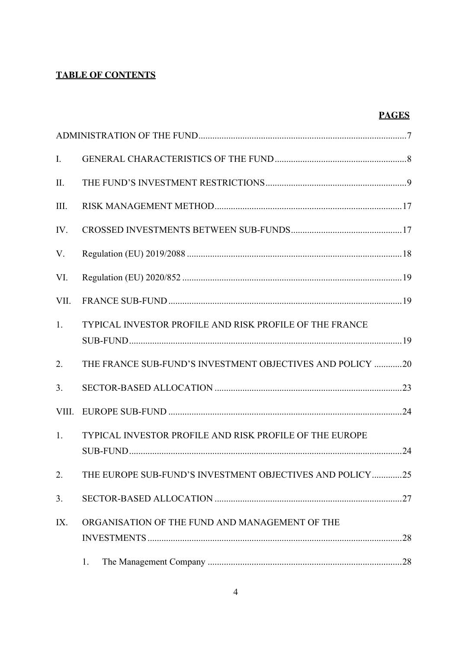# **TABLE OF CONTENTS**

| ш |
|---|
|   |
|   |

| Ι.    |                                                             |
|-------|-------------------------------------------------------------|
| II.   |                                                             |
| III.  |                                                             |
| IV.   |                                                             |
| V.    |                                                             |
| VI.   |                                                             |
| VII.  |                                                             |
| 1.    | TYPICAL INVESTOR PROFILE AND RISK PROFILE OF THE FRANCE     |
| 2.    | THE FRANCE SUB-FUND'S INVESTMENT OBJECTIVES AND POLICY 20   |
| 3.    |                                                             |
| VIII. |                                                             |
| 1.    | TYPICAL INVESTOR PROFILE AND RISK PROFILE OF THE EUROPE     |
|       | 2. THE EUROPE SUB-FUND'S INVESTMENT OBJECTIVES AND POLICY25 |
| 3.    |                                                             |
| IX.   | ORGANISATION OF THE FUND AND MANAGEMENT OF THE              |
|       | 1.                                                          |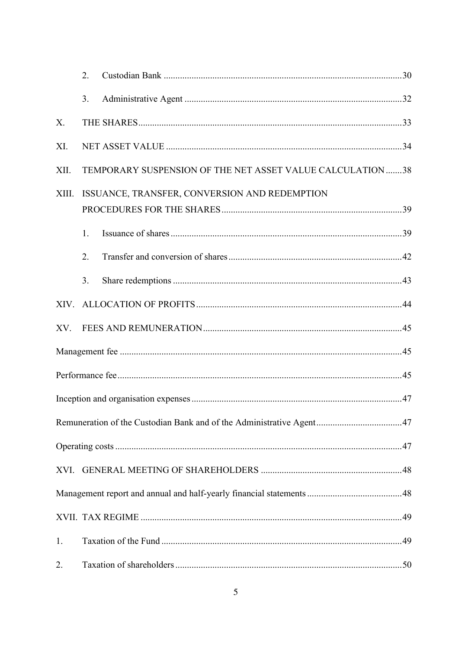|       | 2.                                                         |                                                                      |  |  |
|-------|------------------------------------------------------------|----------------------------------------------------------------------|--|--|
|       | 3.                                                         |                                                                      |  |  |
| X.    |                                                            |                                                                      |  |  |
| XI.   |                                                            |                                                                      |  |  |
| XII.  | TEMPORARY SUSPENSION OF THE NET ASSET VALUE CALCULATION 38 |                                                                      |  |  |
| XIII. | ISSUANCE, TRANSFER, CONVERSION AND REDEMPTION              |                                                                      |  |  |
|       | 1.                                                         |                                                                      |  |  |
|       | 2.                                                         |                                                                      |  |  |
|       | 3.                                                         |                                                                      |  |  |
|       |                                                            |                                                                      |  |  |
| XV.   |                                                            |                                                                      |  |  |
|       |                                                            |                                                                      |  |  |
|       |                                                            |                                                                      |  |  |
|       |                                                            |                                                                      |  |  |
|       |                                                            | Remuneration of the Custodian Bank and of the Administrative Agent47 |  |  |
|       |                                                            |                                                                      |  |  |
|       |                                                            |                                                                      |  |  |
|       |                                                            |                                                                      |  |  |
|       |                                                            |                                                                      |  |  |
| 1.    |                                                            |                                                                      |  |  |
| 2.    |                                                            |                                                                      |  |  |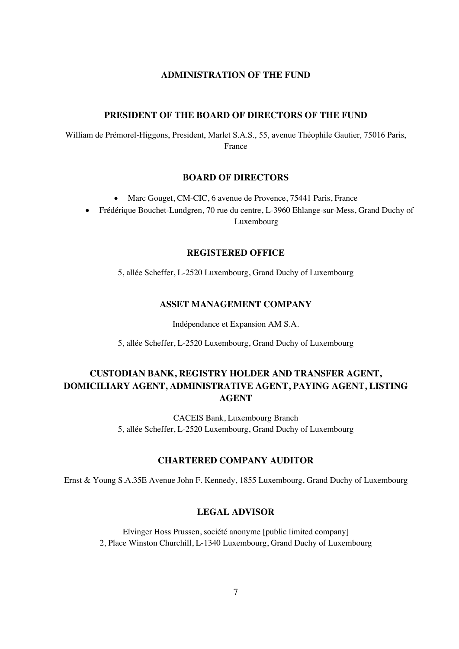## **ADMINISTRATION OF THE FUND**

### **PRESIDENT OF THE BOARD OF DIRECTORS OF THE FUND**

William de Prémorel-Higgons, President, Marlet S.A.S., 55, avenue Théophile Gautier, 75016 Paris, France

#### **BOARD OF DIRECTORS**

• Marc Gouget, CM-CIC, 6 avenue de Provence, 75441 Paris, France

• Frédérique Bouchet-Lundgren, 70 rue du centre, L-3960 Ehlange-sur-Mess, Grand Duchy of Luxembourg

#### **REGISTERED OFFICE**

5, allée Scheffer, L-2520 Luxembourg, Grand Duchy of Luxembourg

#### **ASSET MANAGEMENT COMPANY**

Indépendance et Expansion AM S.A.

5, allée Scheffer, L-2520 Luxembourg, Grand Duchy of Luxembourg

# **CUSTODIAN BANK, REGISTRY HOLDER AND TRANSFER AGENT, DOMICILIARY AGENT, ADMINISTRATIVE AGENT, PAYING AGENT, LISTING AGENT**

CACEIS Bank, Luxembourg Branch 5, allée Scheffer, L-2520 Luxembourg, Grand Duchy of Luxembourg

### **CHARTERED COMPANY AUDITOR**

Ernst & Young S.A.35E Avenue John F. Kennedy, 1855 Luxembourg, Grand Duchy of Luxembourg

### **LEGAL ADVISOR**

Elvinger Hoss Prussen, société anonyme [public limited company] 2, Place Winston Churchill, L-1340 Luxembourg, Grand Duchy of Luxembourg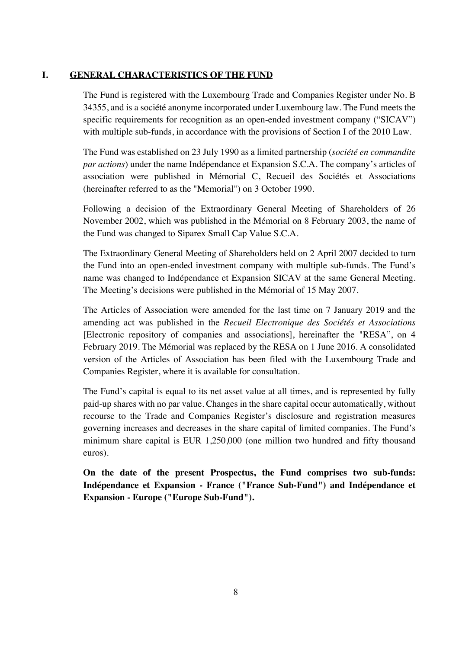## **I. GENERAL CHARACTERISTICS OF THE FUND**

The Fund is registered with the Luxembourg Trade and Companies Register under No. B 34355, and is a société anonyme incorporated under Luxembourg law. The Fund meets the specific requirements for recognition as an open-ended investment company ("SICAV") with multiple sub-funds, in accordance with the provisions of Section I of the 2010 Law.

The Fund was established on 23 July 1990 as a limited partnership (*société en commandite par actions*) under the name Indépendance et Expansion S.C.A. The company's articles of association were published in Mémorial C, Recueil des Sociétés et Associations (hereinafter referred to as the "Memorial") on 3 October 1990.

Following a decision of the Extraordinary General Meeting of Shareholders of 26 November 2002, which was published in the Mémorial on 8 February 2003, the name of the Fund was changed to Siparex Small Cap Value S.C.A.

The Extraordinary General Meeting of Shareholders held on 2 April 2007 decided to turn the Fund into an open-ended investment company with multiple sub-funds. The Fund's name was changed to Indépendance et Expansion SICAV at the same General Meeting. The Meeting's decisions were published in the Mémorial of 15 May 2007.

The Articles of Association were amended for the last time on 7 January 2019 and the amending act was published in the *Recueil Electronique des Sociétés et Associations* [Electronic repository of companies and associations], hereinafter the "RESA", on 4 February 2019. The Mémorial was replaced by the RESA on 1 June 2016. A consolidated version of the Articles of Association has been filed with the Luxembourg Trade and Companies Register, where it is available for consultation.

The Fund's capital is equal to its net asset value at all times, and is represented by fully paid-up shares with no par value. Changes in the share capital occur automatically, without recourse to the Trade and Companies Register's disclosure and registration measures governing increases and decreases in the share capital of limited companies. The Fund's minimum share capital is EUR 1,250,000 (one million two hundred and fifty thousand euros).

**On the date of the present Prospectus, the Fund comprises two sub-funds: Indépendance et Expansion - France ("France Sub-Fund") and Indépendance et Expansion - Europe ("Europe Sub-Fund").**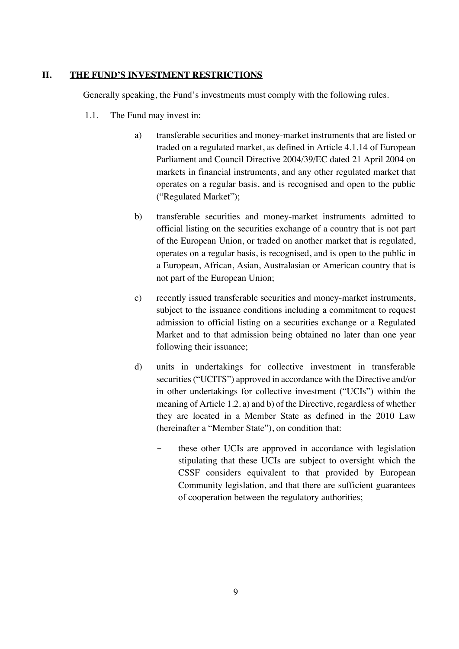## **II. THE FUND'S INVESTMENT RESTRICTIONS**

Generally speaking, the Fund's investments must comply with the following rules.

- 1.1. The Fund may invest in:
	- a) transferable securities and money-market instruments that are listed or traded on a regulated market, as defined in Article 4.1.14 of European Parliament and Council Directive 2004/39/EC dated 21 April 2004 on markets in financial instruments, and any other regulated market that operates on a regular basis, and is recognised and open to the public ("Regulated Market");
	- b) transferable securities and money-market instruments admitted to official listing on the securities exchange of a country that is not part of the European Union, or traded on another market that is regulated, operates on a regular basis, is recognised, and is open to the public in a European, African, Asian, Australasian or American country that is not part of the European Union;
	- c) recently issued transferable securities and money-market instruments, subject to the issuance conditions including a commitment to request admission to official listing on a securities exchange or a Regulated Market and to that admission being obtained no later than one year following their issuance;
	- d) units in undertakings for collective investment in transferable securities ("UCITS") approved in accordance with the Directive and/or in other undertakings for collective investment ("UCIs") within the meaning of Article 1.2. a) and b) of the Directive, regardless of whether they are located in a Member State as defined in the 2010 Law (hereinafter a "Member State"), on condition that:
		- these other UCIs are approved in accordance with legislation stipulating that these UCIs are subject to oversight which the CSSF considers equivalent to that provided by European Community legislation, and that there are sufficient guarantees of cooperation between the regulatory authorities;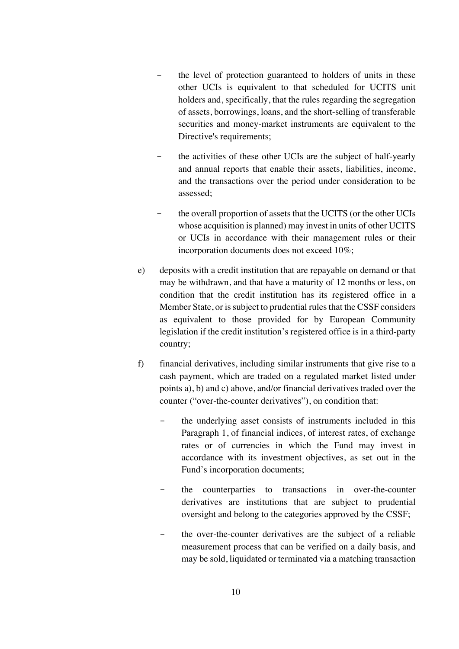- the level of protection guaranteed to holders of units in these other UCIs is equivalent to that scheduled for UCITS unit holders and, specifically, that the rules regarding the segregation of assets, borrowings, loans, and the short-selling of transferable securities and money-market instruments are equivalent to the Directive's requirements;
- the activities of these other UCIs are the subject of half-yearly and annual reports that enable their assets, liabilities, income, and the transactions over the period under consideration to be assessed;
- the overall proportion of assets that the UCITS (or the other UCIs whose acquisition is planned) may invest in units of other UCITS or UCIs in accordance with their management rules or their incorporation documents does not exceed 10%;
- e) deposits with a credit institution that are repayable on demand or that may be withdrawn, and that have a maturity of 12 months or less, on condition that the credit institution has its registered office in a Member State, or is subject to prudential rules that the CSSF considers as equivalent to those provided for by European Community legislation if the credit institution's registered office is in a third-party country;
- f) financial derivatives, including similar instruments that give rise to a cash payment, which are traded on a regulated market listed under points a), b) and c) above, and/or financial derivatives traded over the counter ("over-the-counter derivatives"), on condition that:
	- the underlying asset consists of instruments included in this Paragraph 1, of financial indices, of interest rates, of exchange rates or of currencies in which the Fund may invest in accordance with its investment objectives, as set out in the Fund's incorporation documents;
	- the counterparties to transactions in over-the-counter derivatives are institutions that are subject to prudential oversight and belong to the categories approved by the CSSF;
	- the over-the-counter derivatives are the subject of a reliable measurement process that can be verified on a daily basis, and may be sold, liquidated or terminated via a matching transaction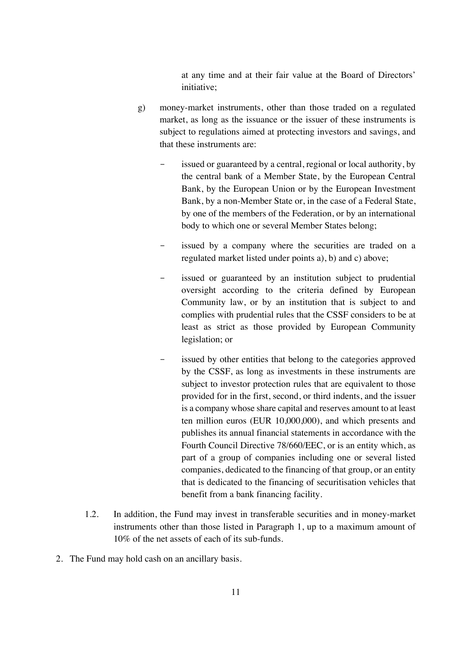at any time and at their fair value at the Board of Directors' initiative;

- g) money-market instruments, other than those traded on a regulated market, as long as the issuance or the issuer of these instruments is subject to regulations aimed at protecting investors and savings, and that these instruments are:
	- issued or guaranteed by a central, regional or local authority, by the central bank of a Member State, by the European Central Bank, by the European Union or by the European Investment Bank, by a non-Member State or, in the case of a Federal State, by one of the members of the Federation, or by an international body to which one or several Member States belong;
	- issued by a company where the securities are traded on a regulated market listed under points a), b) and c) above;
	- issued or guaranteed by an institution subject to prudential oversight according to the criteria defined by European Community law, or by an institution that is subject to and complies with prudential rules that the CSSF considers to be at least as strict as those provided by European Community legislation; or
	- issued by other entities that belong to the categories approved by the CSSF, as long as investments in these instruments are subject to investor protection rules that are equivalent to those provided for in the first, second, or third indents, and the issuer is a company whose share capital and reserves amount to at least ten million euros (EUR 10,000,000), and which presents and publishes its annual financial statements in accordance with the Fourth Council Directive 78/660/EEC, or is an entity which, as part of a group of companies including one or several listed companies, dedicated to the financing of that group, or an entity that is dedicated to the financing of securitisation vehicles that benefit from a bank financing facility.
- 1.2. In addition, the Fund may invest in transferable securities and in money-market instruments other than those listed in Paragraph 1, up to a maximum amount of 10% of the net assets of each of its sub-funds.
- 2. The Fund may hold cash on an ancillary basis.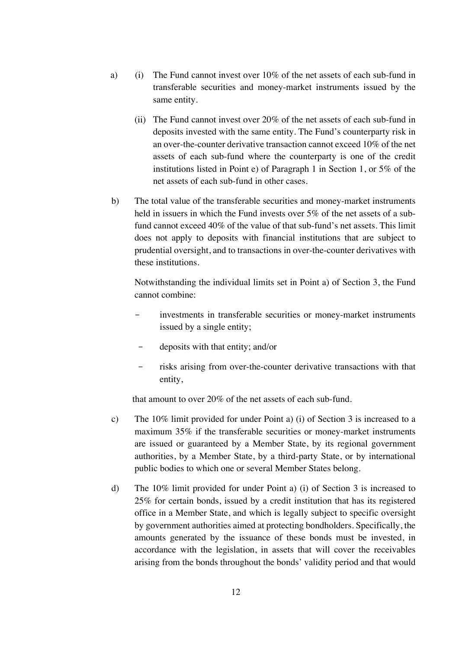- a) (i) The Fund cannot invest over 10% of the net assets of each sub-fund in transferable securities and money-market instruments issued by the same entity.
	- (ii) The Fund cannot invest over 20% of the net assets of each sub-fund in deposits invested with the same entity. The Fund's counterparty risk in an over-the-counter derivative transaction cannot exceed 10% of the net assets of each sub-fund where the counterparty is one of the credit institutions listed in Point e) of Paragraph 1 in Section 1, or 5% of the net assets of each sub-fund in other cases.
- b) The total value of the transferable securities and money-market instruments held in issuers in which the Fund invests over 5% of the net assets of a subfund cannot exceed 40% of the value of that sub-fund's net assets. This limit does not apply to deposits with financial institutions that are subject to prudential oversight, and to transactions in over-the-counter derivatives with these institutions.

Notwithstanding the individual limits set in Point a) of Section 3, the Fund cannot combine:

- investments in transferable securities or money-market instruments issued by a single entity;
- deposits with that entity; and/or
- risks arising from over-the-counter derivative transactions with that entity,

that amount to over 20% of the net assets of each sub-fund.

- c) The 10% limit provided for under Point a) (i) of Section 3 is increased to a maximum 35% if the transferable securities or money-market instruments are issued or guaranteed by a Member State, by its regional government authorities, by a Member State, by a third-party State, or by international public bodies to which one or several Member States belong.
- d) The 10% limit provided for under Point a) (i) of Section 3 is increased to 25% for certain bonds, issued by a credit institution that has its registered office in a Member State, and which is legally subject to specific oversight by government authorities aimed at protecting bondholders. Specifically, the amounts generated by the issuance of these bonds must be invested, in accordance with the legislation, in assets that will cover the receivables arising from the bonds throughout the bonds' validity period and that would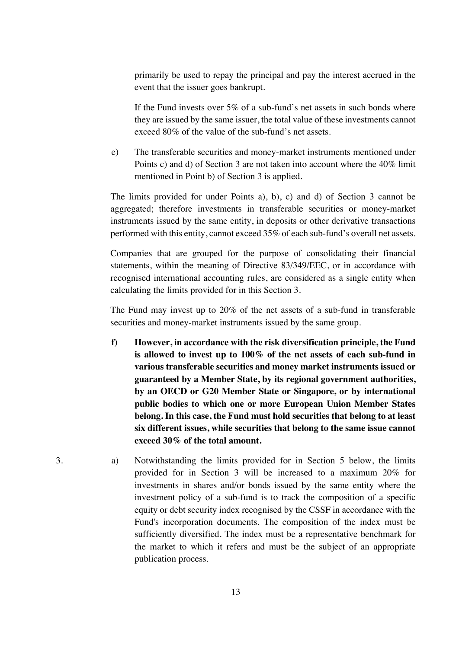primarily be used to repay the principal and pay the interest accrued in the event that the issuer goes bankrupt.

If the Fund invests over 5% of a sub-fund's net assets in such bonds where they are issued by the same issuer, the total value of these investments cannot exceed 80% of the value of the sub-fund's net assets.

e) The transferable securities and money-market instruments mentioned under Points c) and d) of Section 3 are not taken into account where the 40% limit mentioned in Point b) of Section 3 is applied.

The limits provided for under Points a), b), c) and d) of Section 3 cannot be aggregated; therefore investments in transferable securities or money-market instruments issued by the same entity, in deposits or other derivative transactions performed with this entity, cannot exceed 35% of each sub-fund's overall net assets.

Companies that are grouped for the purpose of consolidating their financial statements, within the meaning of Directive 83/349/EEC, or in accordance with recognised international accounting rules, are considered as a single entity when calculating the limits provided for in this Section 3.

The Fund may invest up to 20% of the net assets of a sub-fund in transferable securities and money-market instruments issued by the same group.

- **f) However, in accordance with the risk diversification principle, the Fund is allowed to invest up to 100% of the net assets of each sub-fund in various transferable securities and money market instruments issued or guaranteed by a Member State, by its regional government authorities, by an OECD or G20 Member State or Singapore, or by international public bodies to which one or more European Union Member States belong. In this case, the Fund must hold securities that belong to at least six different issues, while securities that belong to the same issue cannot exceed 30% of the total amount.**
- 3. a) Notwithstanding the limits provided for in Section 5 below, the limits provided for in Section 3 will be increased to a maximum 20% for investments in shares and/or bonds issued by the same entity where the investment policy of a sub-fund is to track the composition of a specific equity or debt security index recognised by the CSSF in accordance with the Fund's incorporation documents. The composition of the index must be sufficiently diversified. The index must be a representative benchmark for the market to which it refers and must be the subject of an appropriate publication process.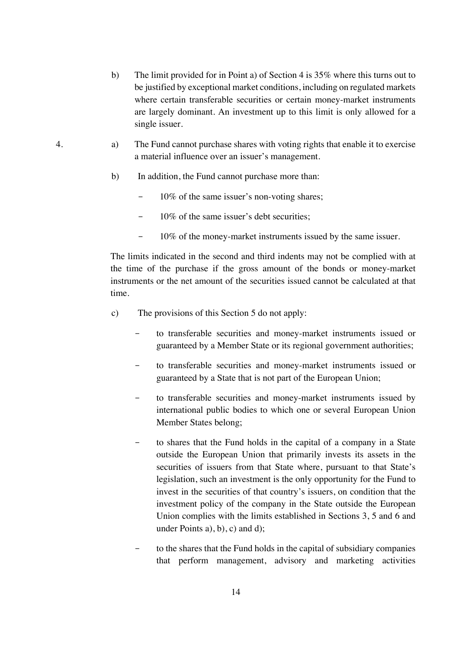- b) The limit provided for in Point a) of Section 4 is 35% where this turns out to be justified by exceptional market conditions, including on regulated markets where certain transferable securities or certain money-market instruments are largely dominant. An investment up to this limit is only allowed for a single issuer.
- 4. a) The Fund cannot purchase shares with voting rights that enable it to exercise a material influence over an issuer's management.
	- b) In addition, the Fund cannot purchase more than:
		- 10% of the same issuer's non-voting shares;
		- 10% of the same issuer's debt securities:
		- 10% of the money-market instruments issued by the same issuer.

The limits indicated in the second and third indents may not be complied with at the time of the purchase if the gross amount of the bonds or money-market instruments or the net amount of the securities issued cannot be calculated at that time.

- c) The provisions of this Section 5 do not apply:
	- to transferable securities and money-market instruments issued or guaranteed by a Member State or its regional government authorities;
	- to transferable securities and money-market instruments issued or guaranteed by a State that is not part of the European Union;
	- to transferable securities and money-market instruments issued by international public bodies to which one or several European Union Member States belong;
	- to shares that the Fund holds in the capital of a company in a State outside the European Union that primarily invests its assets in the securities of issuers from that State where, pursuant to that State's legislation, such an investment is the only opportunity for the Fund to invest in the securities of that country's issuers, on condition that the investment policy of the company in the State outside the European Union complies with the limits established in Sections 3, 5 and 6 and under Points a), b), c) and d);
	- to the shares that the Fund holds in the capital of subsidiary companies that perform management, advisory and marketing activities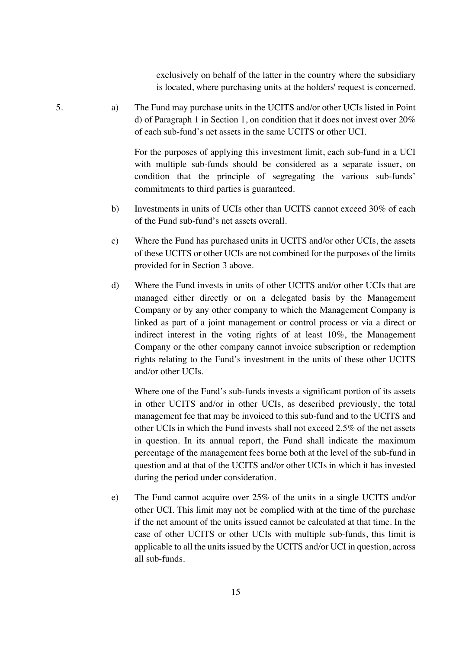exclusively on behalf of the latter in the country where the subsidiary is located, where purchasing units at the holders' request is concerned.

5. a) The Fund may purchase units in the UCITS and/or other UCIs listed in Point d) of Paragraph 1 in Section 1, on condition that it does not invest over 20% of each sub-fund's net assets in the same UCITS or other UCI.

> For the purposes of applying this investment limit, each sub-fund in a UCI with multiple sub-funds should be considered as a separate issuer, on condition that the principle of segregating the various sub-funds' commitments to third parties is guaranteed.

- b) Investments in units of UCIs other than UCITS cannot exceed 30% of each of the Fund sub-fund's net assets overall.
- c) Where the Fund has purchased units in UCITS and/or other UCIs, the assets of these UCITS or other UCIs are not combined for the purposes of the limits provided for in Section 3 above.
- d) Where the Fund invests in units of other UCITS and/or other UCIs that are managed either directly or on a delegated basis by the Management Company or by any other company to which the Management Company is linked as part of a joint management or control process or via a direct or indirect interest in the voting rights of at least 10%, the Management Company or the other company cannot invoice subscription or redemption rights relating to the Fund's investment in the units of these other UCITS and/or other UCIs.

Where one of the Fund's sub-funds invests a significant portion of its assets in other UCITS and/or in other UCIs, as described previously, the total management fee that may be invoiced to this sub-fund and to the UCITS and other UCIs in which the Fund invests shall not exceed 2.5% of the net assets in question. In its annual report, the Fund shall indicate the maximum percentage of the management fees borne both at the level of the sub-fund in question and at that of the UCITS and/or other UCIs in which it has invested during the period under consideration.

e) The Fund cannot acquire over 25% of the units in a single UCITS and/or other UCI. This limit may not be complied with at the time of the purchase if the net amount of the units issued cannot be calculated at that time. In the case of other UCITS or other UCIs with multiple sub-funds, this limit is applicable to all the units issued by the UCITS and/or UCI in question, across all sub-funds.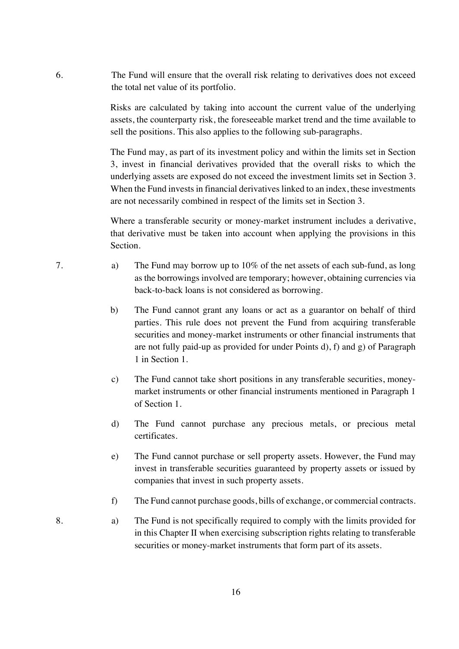6. The Fund will ensure that the overall risk relating to derivatives does not exceed the total net value of its portfolio.

> Risks are calculated by taking into account the current value of the underlying assets, the counterparty risk, the foreseeable market trend and the time available to sell the positions. This also applies to the following sub-paragraphs.

> The Fund may, as part of its investment policy and within the limits set in Section 3, invest in financial derivatives provided that the overall risks to which the underlying assets are exposed do not exceed the investment limits set in Section 3. When the Fund invests in financial derivatives linked to an index, these investments are not necessarily combined in respect of the limits set in Section 3.

> Where a transferable security or money-market instrument includes a derivative, that derivative must be taken into account when applying the provisions in this Section.

- 7. a) The Fund may borrow up to 10% of the net assets of each sub-fund, as long as the borrowings involved are temporary; however, obtaining currencies via back-to-back loans is not considered as borrowing.
	- b) The Fund cannot grant any loans or act as a guarantor on behalf of third parties. This rule does not prevent the Fund from acquiring transferable securities and money-market instruments or other financial instruments that are not fully paid-up as provided for under Points d), f) and g) of Paragraph 1 in Section 1.
	- c) The Fund cannot take short positions in any transferable securities, moneymarket instruments or other financial instruments mentioned in Paragraph 1 of Section 1.
	- d) The Fund cannot purchase any precious metals, or precious metal certificates.
	- e) The Fund cannot purchase or sell property assets. However, the Fund may invest in transferable securities guaranteed by property assets or issued by companies that invest in such property assets.
	- f) The Fund cannot purchase goods, bills of exchange, or commercial contracts.
- 8. a) The Fund is not specifically required to comply with the limits provided for in this Chapter II when exercising subscription rights relating to transferable securities or money-market instruments that form part of its assets.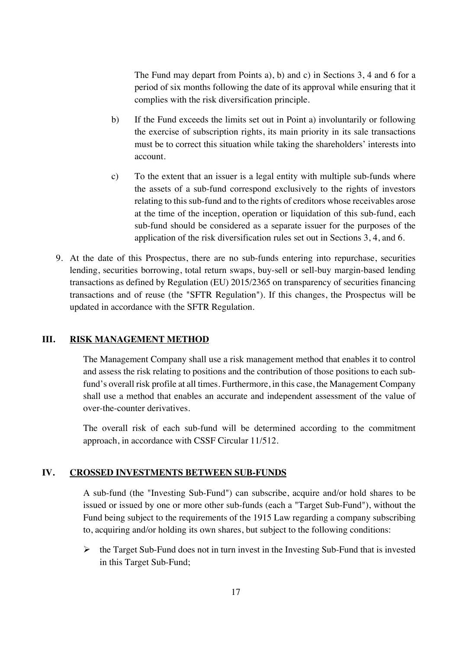The Fund may depart from Points a), b) and c) in Sections 3, 4 and 6 for a period of six months following the date of its approval while ensuring that it complies with the risk diversification principle.

- b) If the Fund exceeds the limits set out in Point a) involuntarily or following the exercise of subscription rights, its main priority in its sale transactions must be to correct this situation while taking the shareholders' interests into account.
- c) To the extent that an issuer is a legal entity with multiple sub-funds where the assets of a sub-fund correspond exclusively to the rights of investors relating to this sub-fund and to the rights of creditors whose receivables arose at the time of the inception, operation or liquidation of this sub-fund, each sub-fund should be considered as a separate issuer for the purposes of the application of the risk diversification rules set out in Sections 3, 4, and 6.
- 9. At the date of this Prospectus, there are no sub-funds entering into repurchase, securities lending, securities borrowing, total return swaps, buy-sell or sell-buy margin-based lending transactions as defined by Regulation (EU) 2015/2365 on transparency of securities financing transactions and of reuse (the "SFTR Regulation"). If this changes, the Prospectus will be updated in accordance with the SFTR Regulation.

# **III. RISK MANAGEMENT METHOD**

The Management Company shall use a risk management method that enables it to control and assess the risk relating to positions and the contribution of those positions to each subfund's overall risk profile at all times. Furthermore, in this case, the Management Company shall use a method that enables an accurate and independent assessment of the value of over-the-counter derivatives.

The overall risk of each sub-fund will be determined according to the commitment approach, in accordance with CSSF Circular 11/512.

### **IV. CROSSED INVESTMENTS BETWEEN SUB-FUNDS**

A sub-fund (the "Investing Sub-Fund") can subscribe, acquire and/or hold shares to be issued or issued by one or more other sub-funds (each a "Target Sub-Fund"), without the Fund being subject to the requirements of the 1915 Law regarding a company subscribing to, acquiring and/or holding its own shares, but subject to the following conditions:

 $\triangleright$  the Target Sub-Fund does not in turn invest in the Investing Sub-Fund that is invested in this Target Sub-Fund;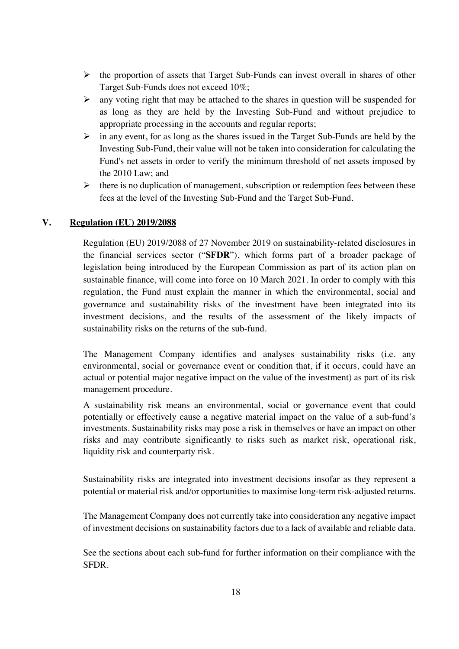- $\triangleright$  the proportion of assets that Target Sub-Funds can invest overall in shares of other Target Sub-Funds does not exceed 10%;
- $\triangleright$  any voting right that may be attached to the shares in question will be suspended for as long as they are held by the Investing Sub-Fund and without prejudice to appropriate processing in the accounts and regular reports;
- $\triangleright$  in any event, for as long as the shares issued in the Target Sub-Funds are held by the Investing Sub-Fund, their value will not be taken into consideration for calculating the Fund's net assets in order to verify the minimum threshold of net assets imposed by the 2010 Law; and
- $\triangleright$  there is no duplication of management, subscription or redemption fees between these fees at the level of the Investing Sub-Fund and the Target Sub-Fund.

## **V. Regulation (EU) 2019/2088**

Regulation (EU) 2019/2088 of 27 November 2019 on sustainability-related disclosures in the financial services sector ("**SFDR**"), which forms part of a broader package of legislation being introduced by the European Commission as part of its action plan on sustainable finance, will come into force on 10 March 2021. In order to comply with this regulation, the Fund must explain the manner in which the environmental, social and governance and sustainability risks of the investment have been integrated into its investment decisions, and the results of the assessment of the likely impacts of sustainability risks on the returns of the sub-fund.

The Management Company identifies and analyses sustainability risks (i.e. any environmental, social or governance event or condition that, if it occurs, could have an actual or potential major negative impact on the value of the investment) as part of its risk management procedure.

A sustainability risk means an environmental, social or governance event that could potentially or effectively cause a negative material impact on the value of a sub-fund's investments. Sustainability risks may pose a risk in themselves or have an impact on other risks and may contribute significantly to risks such as market risk, operational risk, liquidity risk and counterparty risk.

Sustainability risks are integrated into investment decisions insofar as they represent a potential or material risk and/or opportunities to maximise long-term risk-adjusted returns.

The Management Company does not currently take into consideration any negative impact of investment decisions on sustainability factors due to a lack of available and reliable data.

See the sections about each sub-fund for further information on their compliance with the SFDR.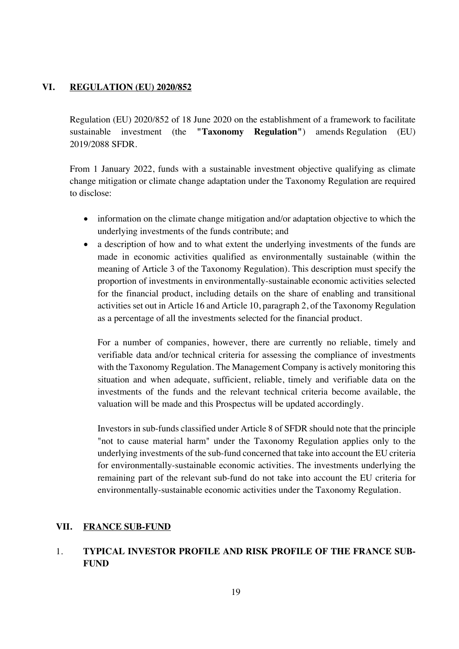## **VI. REGULATION (EU) 2020/852**

Regulation (EU) 2020/852 of 18 June 2020 on the establishment of a framework to facilitate sustainable investment (the **"Taxonomy Regulation"**) amends Regulation (EU) 2019/2088 SFDR.

From 1 January 2022, funds with a sustainable investment objective qualifying as climate change mitigation or climate change adaptation under the Taxonomy Regulation are required to disclose:

- information on the climate change mitigation and/or adaptation objective to which the underlying investments of the funds contribute; and
- a description of how and to what extent the underlying investments of the funds are made in economic activities qualified as environmentally sustainable (within the meaning of Article 3 of the Taxonomy Regulation). This description must specify the proportion of investments in environmentally-sustainable economic activities selected for the financial product, including details on the share of enabling and transitional activities set out in Article 16 and Article 10, paragraph 2, of the Taxonomy Regulation as a percentage of all the investments selected for the financial product.

For a number of companies, however, there are currently no reliable, timely and verifiable data and/or technical criteria for assessing the compliance of investments with the Taxonomy Regulation. The Management Company is actively monitoring this situation and when adequate, sufficient, reliable, timely and verifiable data on the investments of the funds and the relevant technical criteria become available, the valuation will be made and this Prospectus will be updated accordingly.

Investors in sub-funds classified under Article 8 of SFDR should note that the principle "not to cause material harm" under the Taxonomy Regulation applies only to the underlying investments of the sub-fund concerned that take into account the EU criteria for environmentally-sustainable economic activities. The investments underlying the remaining part of the relevant sub-fund do not take into account the EU criteria for environmentally-sustainable economic activities under the Taxonomy Regulation.

## **VII. FRANCE SUB-FUND**

# 1. **TYPICAL INVESTOR PROFILE AND RISK PROFILE OF THE FRANCE SUB-FUND**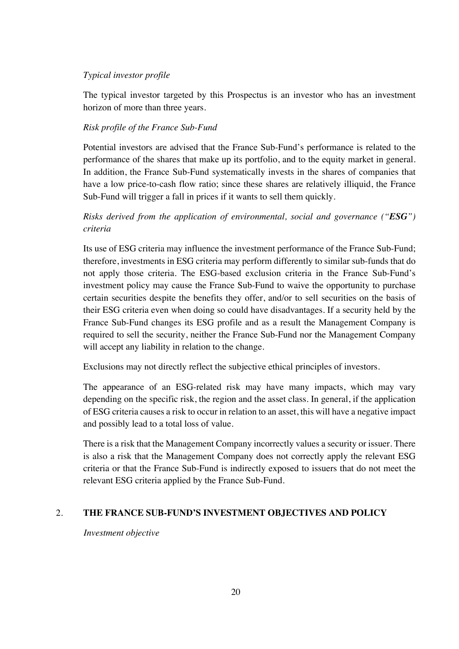## *Typical investor profile*

The typical investor targeted by this Prospectus is an investor who has an investment horizon of more than three years.

## *Risk profile of the France Sub-Fund*

Potential investors are advised that the France Sub-Fund's performance is related to the performance of the shares that make up its portfolio, and to the equity market in general. In addition, the France Sub-Fund systematically invests in the shares of companies that have a low price-to-cash flow ratio; since these shares are relatively illiquid, the France Sub-Fund will trigger a fall in prices if it wants to sell them quickly.

# *Risks derived from the application of environmental, social and governance ("ESG") criteria*

Its use of ESG criteria may influence the investment performance of the France Sub-Fund; therefore, investments in ESG criteria may perform differently to similar sub-funds that do not apply those criteria. The ESG-based exclusion criteria in the France Sub-Fund's investment policy may cause the France Sub-Fund to waive the opportunity to purchase certain securities despite the benefits they offer, and/or to sell securities on the basis of their ESG criteria even when doing so could have disadvantages. If a security held by the France Sub-Fund changes its ESG profile and as a result the Management Company is required to sell the security, neither the France Sub-Fund nor the Management Company will accept any liability in relation to the change.

Exclusions may not directly reflect the subjective ethical principles of investors.

The appearance of an ESG-related risk may have many impacts, which may vary depending on the specific risk, the region and the asset class. In general, if the application of ESG criteria causes a risk to occur in relation to an asset, this will have a negative impact and possibly lead to a total loss of value.

There is a risk that the Management Company incorrectly values a security or issuer. There is also a risk that the Management Company does not correctly apply the relevant ESG criteria or that the France Sub-Fund is indirectly exposed to issuers that do not meet the relevant ESG criteria applied by the France Sub-Fund.

# 2. **THE FRANCE SUB-FUND'S INVESTMENT OBJECTIVES AND POLICY**

*Investment objective*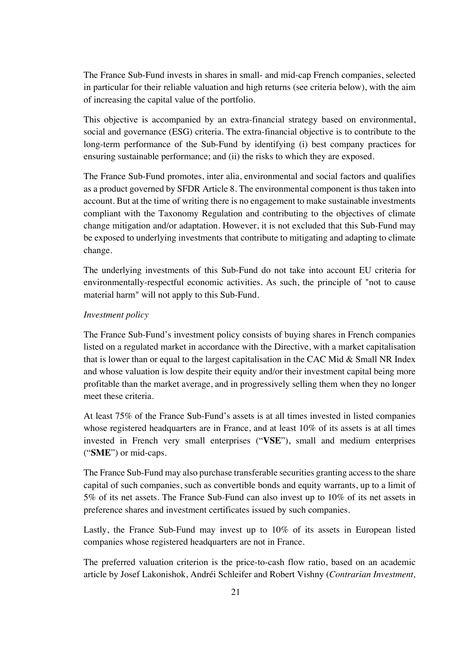The France Sub-Fund invests in shares in small- and mid-cap French companies, selected in particular for their reliable valuation and high returns (see criteria below), with the aim of increasing the capital value of the portfolio.

This objective is accompanied by an extra-financial strategy based on environmental, social and governance (ESG) criteria. The extra-financial objective is to contribute to the long-term performance of the Sub-Fund by identifying (i) best company practices for ensuring sustainable performance; and (ii) the risks to which they are exposed.

The France Sub-Fund promotes, inter alia, environmental and social factors and qualifies as a product governed by SFDR Article 8. The environmental component is thus taken into account. But at the time of writing there is no engagement to make sustainable investments compliant with the Taxonomy Regulation and contributing to the objectives of climate change mitigation and/or adaptation. However, it is not excluded that this Sub-Fund may be exposed to underlying investments that contribute to mitigating and adapting to climate change.

The underlying investments of this Sub-Fund do not take into account EU criteria for environmentally-respectful economic activities. As such, the principle of "not to cause material harm" will not apply to this Sub-Fund.

### *Investment policy*

The France Sub-Fund's investment policy consists of buying shares in French companies listed on a regulated market in accordance with the Directive, with a market capitalisation that is lower than or equal to the largest capitalisation in the CAC Mid & Small NR Index and whose valuation is low despite their equity and/or their investment capital being more profitable than the market average, and in progressively selling them when they no longer meet these criteria.

At least 75% of the France Sub-Fund's assets is at all times invested in listed companies whose registered headquarters are in France, and at least 10% of its assets is at all times invested in French very small enterprises ("**VSE**"), small and medium enterprises ("**SME**") or mid-caps.

The France Sub-Fund may also purchase transferable securities granting access to the share capital of such companies, such as convertible bonds and equity warrants, up to a limit of 5% of its net assets. The France Sub-Fund can also invest up to 10% of its net assets in preference shares and investment certificates issued by such companies.

Lastly, the France Sub-Fund may invest up to 10% of its assets in European listed companies whose registered headquarters are not in France.

The preferred valuation criterion is the price-to-cash flow ratio, based on an academic article by Josef Lakonishok, Andréi Schleifer and Robert Vishny (*Contrarian Investment,*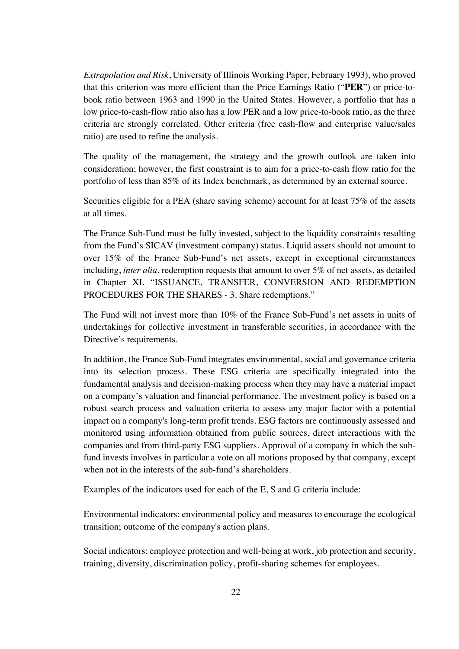*Extrapolation and Risk*, University of Illinois Working Paper, February 1993), who proved that this criterion was more efficient than the Price Earnings Ratio ("**PER**") or price-tobook ratio between 1963 and 1990 in the United States. However, a portfolio that has a low price-to-cash-flow ratio also has a low PER and a low price-to-book ratio, as the three criteria are strongly correlated. Other criteria (free cash-flow and enterprise value/sales ratio) are used to refine the analysis.

The quality of the management, the strategy and the growth outlook are taken into consideration; however, the first constraint is to aim for a price-to-cash flow ratio for the portfolio of less than 85% of its Index benchmark, as determined by an external source.

Securities eligible for a PEA (share saving scheme) account for at least 75% of the assets at all times.

The France Sub-Fund must be fully invested, subject to the liquidity constraints resulting from the Fund's SICAV (investment company) status. Liquid assets should not amount to over 15% of the France Sub-Fund's net assets, except in exceptional circumstances including, *inter alia*, redemption requests that amount to over 5% of net assets, as detailed in Chapter XI. "ISSUANCE, TRANSFER, CONVERSION AND REDEMPTION PROCEDURES FOR THE SHARES - 3. Share redemptions."

The Fund will not invest more than 10% of the France Sub-Fund's net assets in units of undertakings for collective investment in transferable securities, in accordance with the Directive's requirements.

In addition, the France Sub-Fund integrates environmental, social and governance criteria into its selection process. These ESG criteria are specifically integrated into the fundamental analysis and decision-making process when they may have a material impact on a company's valuation and financial performance. The investment policy is based on a robust search process and valuation criteria to assess any major factor with a potential impact on a company's long-term profit trends. ESG factors are continuously assessed and monitored using information obtained from public sources, direct interactions with the companies and from third-party ESG suppliers. Approval of a company in which the subfund invests involves in particular a vote on all motions proposed by that company, except when not in the interests of the sub-fund's shareholders.

Examples of the indicators used for each of the E, S and G criteria include:

Environmental indicators: environmental policy and measures to encourage the ecological transition; outcome of the company's action plans.

Social indicators: employee protection and well-being at work, job protection and security, training, diversity, discrimination policy, profit-sharing schemes for employees.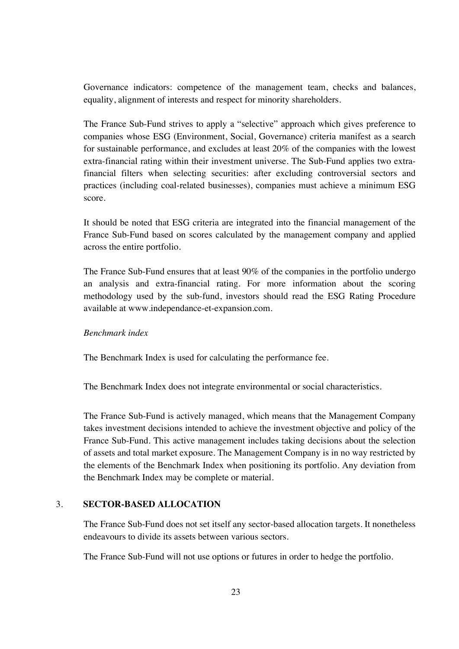Governance indicators: competence of the management team, checks and balances, equality, alignment of interests and respect for minority shareholders.

The France Sub-Fund strives to apply a "selective" approach which gives preference to companies whose ESG (Environment, Social, Governance) criteria manifest as a search for sustainable performance, and excludes at least 20% of the companies with the lowest extra-financial rating within their investment universe. The Sub-Fund applies two extrafinancial filters when selecting securities: after excluding controversial sectors and practices (including coal-related businesses), companies must achieve a minimum ESG score.

It should be noted that ESG criteria are integrated into the financial management of the France Sub-Fund based on scores calculated by the management company and applied across the entire portfolio.

The France Sub-Fund ensures that at least 90% of the companies in the portfolio undergo an analysis and extra-financial rating. For more information about the scoring methodology used by the sub-fund, investors should read the ESG Rating Procedure available at www.independance-et-expansion.com.

## *Benchmark index*

The Benchmark Index is used for calculating the performance fee.

The Benchmark Index does not integrate environmental or social characteristics.

The France Sub-Fund is actively managed, which means that the Management Company takes investment decisions intended to achieve the investment objective and policy of the France Sub-Fund. This active management includes taking decisions about the selection of assets and total market exposure. The Management Company is in no way restricted by the elements of the Benchmark Index when positioning its portfolio. Any deviation from the Benchmark Index may be complete or material.

### 3. **SECTOR-BASED ALLOCATION**

The France Sub-Fund does not set itself any sector-based allocation targets. It nonetheless endeavours to divide its assets between various sectors.

The France Sub-Fund will not use options or futures in order to hedge the portfolio.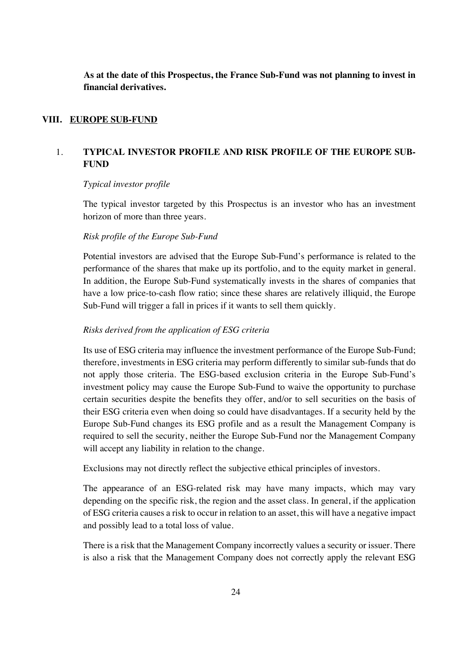**As at the date of this Prospectus, the France Sub-Fund was not planning to invest in financial derivatives.**

### **VIII. EUROPE SUB-FUND**

# 1. **TYPICAL INVESTOR PROFILE AND RISK PROFILE OF THE EUROPE SUB-FUND**

### *Typical investor profile*

The typical investor targeted by this Prospectus is an investor who has an investment horizon of more than three years.

### *Risk profile of the Europe Sub-Fund*

Potential investors are advised that the Europe Sub-Fund's performance is related to the performance of the shares that make up its portfolio, and to the equity market in general. In addition, the Europe Sub-Fund systematically invests in the shares of companies that have a low price-to-cash flow ratio; since these shares are relatively illiquid, the Europe Sub-Fund will trigger a fall in prices if it wants to sell them quickly.

### *Risks derived from the application of ESG criteria*

Its use of ESG criteria may influence the investment performance of the Europe Sub-Fund; therefore, investments in ESG criteria may perform differently to similar sub-funds that do not apply those criteria. The ESG-based exclusion criteria in the Europe Sub-Fund's investment policy may cause the Europe Sub-Fund to waive the opportunity to purchase certain securities despite the benefits they offer, and/or to sell securities on the basis of their ESG criteria even when doing so could have disadvantages. If a security held by the Europe Sub-Fund changes its ESG profile and as a result the Management Company is required to sell the security, neither the Europe Sub-Fund nor the Management Company will accept any liability in relation to the change.

Exclusions may not directly reflect the subjective ethical principles of investors.

The appearance of an ESG-related risk may have many impacts, which may vary depending on the specific risk, the region and the asset class. In general, if the application of ESG criteria causes a risk to occur in relation to an asset, this will have a negative impact and possibly lead to a total loss of value.

There is a risk that the Management Company incorrectly values a security or issuer. There is also a risk that the Management Company does not correctly apply the relevant ESG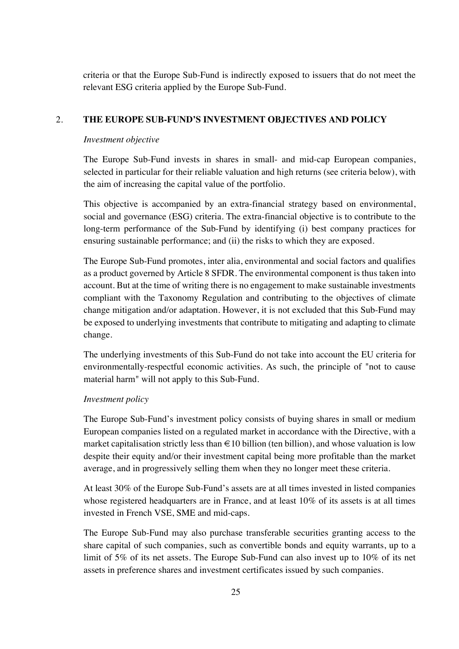criteria or that the Europe Sub-Fund is indirectly exposed to issuers that do not meet the relevant ESG criteria applied by the Europe Sub-Fund.

## 2. **THE EUROPE SUB-FUND'S INVESTMENT OBJECTIVES AND POLICY**

### *Investment objective*

The Europe Sub-Fund invests in shares in small- and mid-cap European companies, selected in particular for their reliable valuation and high returns (see criteria below), with the aim of increasing the capital value of the portfolio.

This objective is accompanied by an extra-financial strategy based on environmental, social and governance (ESG) criteria. The extra-financial objective is to contribute to the long-term performance of the Sub-Fund by identifying (i) best company practices for ensuring sustainable performance; and (ii) the risks to which they are exposed.

The Europe Sub-Fund promotes, inter alia, environmental and social factors and qualifies as a product governed by Article 8 SFDR. The environmental component is thus taken into account. But at the time of writing there is no engagement to make sustainable investments compliant with the Taxonomy Regulation and contributing to the objectives of climate change mitigation and/or adaptation. However, it is not excluded that this Sub-Fund may be exposed to underlying investments that contribute to mitigating and adapting to climate change.

The underlying investments of this Sub-Fund do not take into account the EU criteria for environmentally-respectful economic activities. As such, the principle of "not to cause material harm" will not apply to this Sub-Fund.

### *Investment policy*

The Europe Sub-Fund's investment policy consists of buying shares in small or medium European companies listed on a regulated market in accordance with the Directive, with a market capitalisation strictly less than  $\in$  10 billion (ten billion), and whose valuation is low despite their equity and/or their investment capital being more profitable than the market average, and in progressively selling them when they no longer meet these criteria.

At least 30% of the Europe Sub-Fund's assets are at all times invested in listed companies whose registered headquarters are in France, and at least 10% of its assets is at all times invested in French VSE, SME and mid-caps.

The Europe Sub-Fund may also purchase transferable securities granting access to the share capital of such companies, such as convertible bonds and equity warrants, up to a limit of 5% of its net assets. The Europe Sub-Fund can also invest up to 10% of its net assets in preference shares and investment certificates issued by such companies.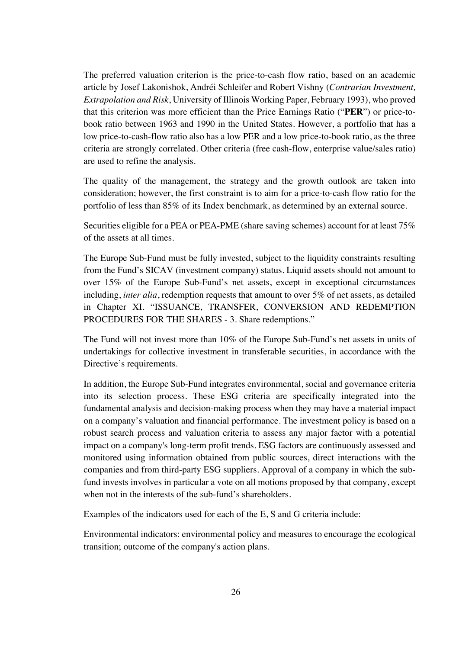The preferred valuation criterion is the price-to-cash flow ratio, based on an academic article by Josef Lakonishok, Andréi Schleifer and Robert Vishny (*Contrarian Investment, Extrapolation and Risk*, University of Illinois Working Paper, February 1993), who proved that this criterion was more efficient than the Price Earnings Ratio ("**PER**") or price-tobook ratio between 1963 and 1990 in the United States. However, a portfolio that has a low price-to-cash-flow ratio also has a low PER and a low price-to-book ratio, as the three criteria are strongly correlated. Other criteria (free cash-flow, enterprise value/sales ratio) are used to refine the analysis.

The quality of the management, the strategy and the growth outlook are taken into consideration; however, the first constraint is to aim for a price-to-cash flow ratio for the portfolio of less than 85% of its Index benchmark, as determined by an external source.

Securities eligible for a PEA or PEA-PME (share saving schemes) account for at least 75% of the assets at all times.

The Europe Sub-Fund must be fully invested, subject to the liquidity constraints resulting from the Fund's SICAV (investment company) status. Liquid assets should not amount to over 15% of the Europe Sub-Fund's net assets, except in exceptional circumstances including, *inter alia*, redemption requests that amount to over 5% of net assets, as detailed in Chapter XI. "ISSUANCE, TRANSFER, CONVERSION AND REDEMPTION PROCEDURES FOR THE SHARES - 3. Share redemptions."

The Fund will not invest more than 10% of the Europe Sub-Fund's net assets in units of undertakings for collective investment in transferable securities, in accordance with the Directive's requirements.

In addition, the Europe Sub-Fund integrates environmental, social and governance criteria into its selection process. These ESG criteria are specifically integrated into the fundamental analysis and decision-making process when they may have a material impact on a company's valuation and financial performance. The investment policy is based on a robust search process and valuation criteria to assess any major factor with a potential impact on a company's long-term profit trends. ESG factors are continuously assessed and monitored using information obtained from public sources, direct interactions with the companies and from third-party ESG suppliers. Approval of a company in which the subfund invests involves in particular a vote on all motions proposed by that company, except when not in the interests of the sub-fund's shareholders.

Examples of the indicators used for each of the E, S and G criteria include:

Environmental indicators: environmental policy and measures to encourage the ecological transition; outcome of the company's action plans.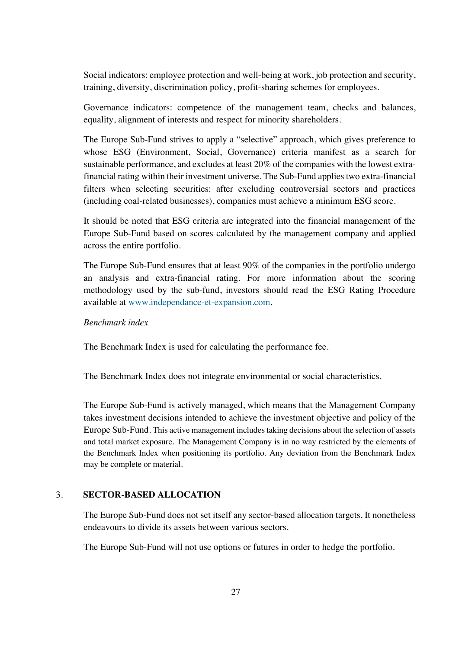Social indicators: employee protection and well-being at work, job protection and security, training, diversity, discrimination policy, profit-sharing schemes for employees.

Governance indicators: competence of the management team, checks and balances, equality, alignment of interests and respect for minority shareholders.

The Europe Sub-Fund strives to apply a "selective" approach, which gives preference to whose ESG (Environment, Social, Governance) criteria manifest as a search for sustainable performance, and excludes at least 20% of the companies with the lowest extrafinancial rating within their investment universe. The Sub-Fund applies two extra-financial filters when selecting securities: after excluding controversial sectors and practices (including coal-related businesses), companies must achieve a minimum ESG score.

It should be noted that ESG criteria are integrated into the financial management of the Europe Sub-Fund based on scores calculated by the management company and applied across the entire portfolio.

The Europe Sub-Fund ensures that at least 90% of the companies in the portfolio undergo an analysis and extra-financial rating. For more information about the scoring methodology used by the sub-fund, investors should read the ESG Rating Procedure available at www.independance-et-expansion.com.

### *Benchmark index*

The Benchmark Index is used for calculating the performance fee.

The Benchmark Index does not integrate environmental or social characteristics.

The Europe Sub-Fund is actively managed, which means that the Management Company takes investment decisions intended to achieve the investment objective and policy of the Europe Sub-Fund. This active management includes taking decisions about the selection of assets and total market exposure. The Management Company is in no way restricted by the elements of the Benchmark Index when positioning its portfolio. Any deviation from the Benchmark Index may be complete or material.

### 3. **SECTOR-BASED ALLOCATION**

The Europe Sub-Fund does not set itself any sector-based allocation targets. It nonetheless endeavours to divide its assets between various sectors.

The Europe Sub-Fund will not use options or futures in order to hedge the portfolio.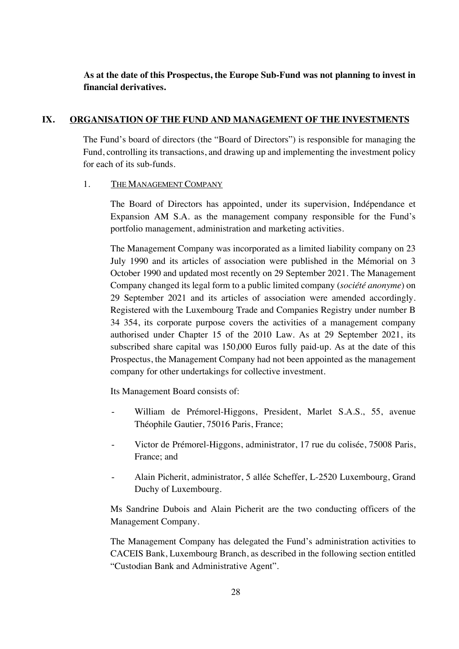# **As at the date of this Prospectus, the Europe Sub-Fund was not planning to invest in financial derivatives.**

## **IX. ORGANISATION OF THE FUND AND MANAGEMENT OF THE INVESTMENTS**

The Fund's board of directors (the "Board of Directors") is responsible for managing the Fund, controlling its transactions, and drawing up and implementing the investment policy for each of its sub-funds.

### 1. THE MANAGEMENT COMPANY

The Board of Directors has appointed, under its supervision, Indépendance et Expansion AM S.A. as the management company responsible for the Fund's portfolio management, administration and marketing activities.

The Management Company was incorporated as a limited liability company on 23 July 1990 and its articles of association were published in the Mémorial on 3 October 1990 and updated most recently on 29 September 2021. The Management Company changed its legal form to a public limited company (*société anonyme*) on 29 September 2021 and its articles of association were amended accordingly. Registered with the Luxembourg Trade and Companies Registry under number B 34 354, its corporate purpose covers the activities of a management company authorised under Chapter 15 of the 2010 Law. As at 29 September 2021, its subscribed share capital was 150,000 Euros fully paid-up. As at the date of this Prospectus, the Management Company had not been appointed as the management company for other undertakings for collective investment.

Its Management Board consists of:

- William de Prémorel-Higgons, President, Marlet S.A.S., 55, avenue Théophile Gautier, 75016 Paris, France;
- Victor de Prémorel-Higgons, administrator, 17 rue du colisée, 75008 Paris, France; and
- Alain Picherit, administrator, 5 allée Scheffer, L-2520 Luxembourg, Grand Duchy of Luxembourg.

Ms Sandrine Dubois and Alain Picherit are the two conducting officers of the Management Company.

The Management Company has delegated the Fund's administration activities to CACEIS Bank, Luxembourg Branch, as described in the following section entitled "Custodian Bank and Administrative Agent".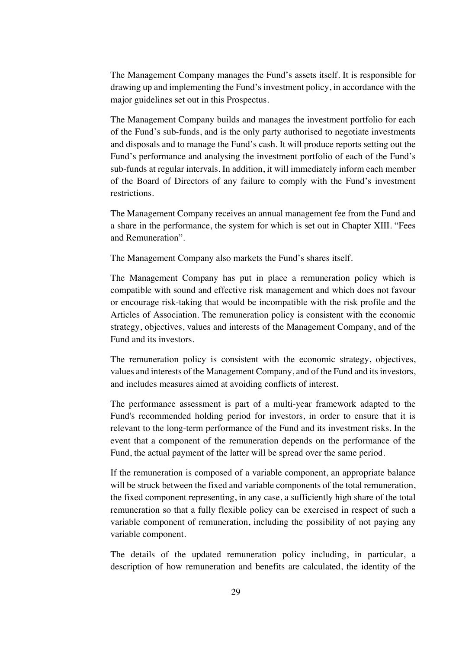The Management Company manages the Fund's assets itself. It is responsible for drawing up and implementing the Fund's investment policy, in accordance with the major guidelines set out in this Prospectus.

The Management Company builds and manages the investment portfolio for each of the Fund's sub-funds, and is the only party authorised to negotiate investments and disposals and to manage the Fund's cash. It will produce reports setting out the Fund's performance and analysing the investment portfolio of each of the Fund's sub-funds at regular intervals. In addition, it will immediately inform each member of the Board of Directors of any failure to comply with the Fund's investment restrictions.

The Management Company receives an annual management fee from the Fund and a share in the performance, the system for which is set out in Chapter XIII. "Fees and Remuneration".

The Management Company also markets the Fund's shares itself.

The Management Company has put in place a remuneration policy which is compatible with sound and effective risk management and which does not favour or encourage risk-taking that would be incompatible with the risk profile and the Articles of Association. The remuneration policy is consistent with the economic strategy, objectives, values and interests of the Management Company, and of the Fund and its investors.

The remuneration policy is consistent with the economic strategy, objectives, values and interests of the Management Company, and of the Fund and its investors, and includes measures aimed at avoiding conflicts of interest.

The performance assessment is part of a multi-year framework adapted to the Fund's recommended holding period for investors, in order to ensure that it is relevant to the long-term performance of the Fund and its investment risks. In the event that a component of the remuneration depends on the performance of the Fund, the actual payment of the latter will be spread over the same period.

If the remuneration is composed of a variable component, an appropriate balance will be struck between the fixed and variable components of the total remuneration, the fixed component representing, in any case, a sufficiently high share of the total remuneration so that a fully flexible policy can be exercised in respect of such a variable component of remuneration, including the possibility of not paying any variable component.

The details of the updated remuneration policy including, in particular, a description of how remuneration and benefits are calculated, the identity of the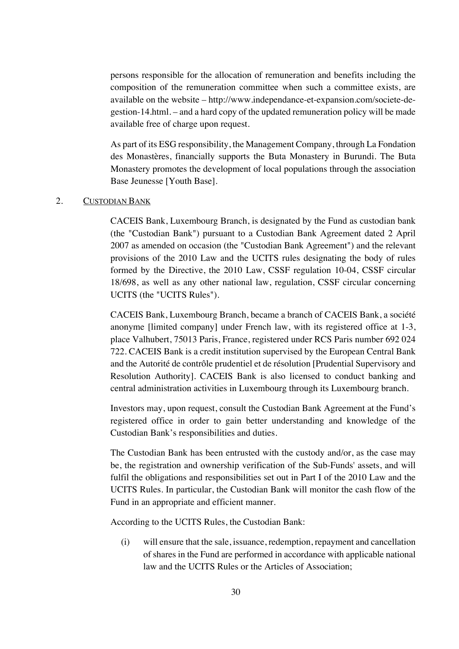persons responsible for the allocation of remuneration and benefits including the composition of the remuneration committee when such a committee exists, are available on the website – http://www.independance-et-expansion.com/societe-degestion-14.html. – and a hard copy of the updated remuneration policy will be made available free of charge upon request.

As part of its ESG responsibility, the Management Company, through La Fondation des Monastères, financially supports the Buta Monastery in Burundi. The Buta Monastery promotes the development of local populations through the association Base Jeunesse [Youth Base].

## 2. CUSTODIAN BANK

CACEIS Bank, Luxembourg Branch, is designated by the Fund as custodian bank (the "Custodian Bank") pursuant to a Custodian Bank Agreement dated 2 April 2007 as amended on occasion (the "Custodian Bank Agreement") and the relevant provisions of the 2010 Law and the UCITS rules designating the body of rules formed by the Directive, the 2010 Law, CSSF regulation 10-04, CSSF circular 18/698, as well as any other national law, regulation, CSSF circular concerning UCITS (the "UCITS Rules").

CACEIS Bank, Luxembourg Branch, became a branch of CACEIS Bank, a société anonyme [limited company] under French law, with its registered office at 1-3, place Valhubert, 75013 Paris, France, registered under RCS Paris number 692 024 722. CACEIS Bank is a credit institution supervised by the European Central Bank and the Autorité de contrôle prudentiel et de résolution [Prudential Supervisory and Resolution Authority]. CACEIS Bank is also licensed to conduct banking and central administration activities in Luxembourg through its Luxembourg branch.

Investors may, upon request, consult the Custodian Bank Agreement at the Fund's registered office in order to gain better understanding and knowledge of the Custodian Bank's responsibilities and duties.

The Custodian Bank has been entrusted with the custody and/or, as the case may be, the registration and ownership verification of the Sub-Funds' assets, and will fulfil the obligations and responsibilities set out in Part I of the 2010 Law and the UCITS Rules. In particular, the Custodian Bank will monitor the cash flow of the Fund in an appropriate and efficient manner.

According to the UCITS Rules, the Custodian Bank:

(i) will ensure that the sale, issuance, redemption, repayment and cancellation of shares in the Fund are performed in accordance with applicable national law and the UCITS Rules or the Articles of Association;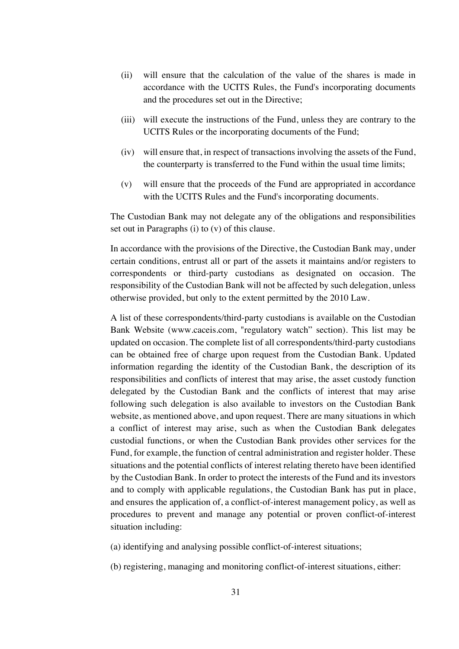- (ii) will ensure that the calculation of the value of the shares is made in accordance with the UCITS Rules, the Fund's incorporating documents and the procedures set out in the Directive;
- (iii) will execute the instructions of the Fund, unless they are contrary to the UCITS Rules or the incorporating documents of the Fund;
- (iv) will ensure that, in respect of transactions involving the assets of the Fund, the counterparty is transferred to the Fund within the usual time limits;
- (v) will ensure that the proceeds of the Fund are appropriated in accordance with the UCITS Rules and the Fund's incorporating documents.

The Custodian Bank may not delegate any of the obligations and responsibilities set out in Paragraphs (i) to (v) of this clause.

In accordance with the provisions of the Directive, the Custodian Bank may, under certain conditions, entrust all or part of the assets it maintains and/or registers to correspondents or third-party custodians as designated on occasion. The responsibility of the Custodian Bank will not be affected by such delegation, unless otherwise provided, but only to the extent permitted by the 2010 Law.

A list of these correspondents/third-party custodians is available on the Custodian Bank Website (www.caceis.com, "regulatory watch" section). This list may be updated on occasion. The complete list of all correspondents/third-party custodians can be obtained free of charge upon request from the Custodian Bank. Updated information regarding the identity of the Custodian Bank, the description of its responsibilities and conflicts of interest that may arise, the asset custody function delegated by the Custodian Bank and the conflicts of interest that may arise following such delegation is also available to investors on the Custodian Bank website, as mentioned above, and upon request. There are many situations in which a conflict of interest may arise, such as when the Custodian Bank delegates custodial functions, or when the Custodian Bank provides other services for the Fund, for example, the function of central administration and register holder. These situations and the potential conflicts of interest relating thereto have been identified by the Custodian Bank. In order to protect the interests of the Fund and its investors and to comply with applicable regulations, the Custodian Bank has put in place, and ensures the application of, a conflict-of-interest management policy, as well as procedures to prevent and manage any potential or proven conflict-of-interest situation including:

- (a) identifying and analysing possible conflict-of-interest situations;
- (b) registering, managing and monitoring conflict-of-interest situations, either: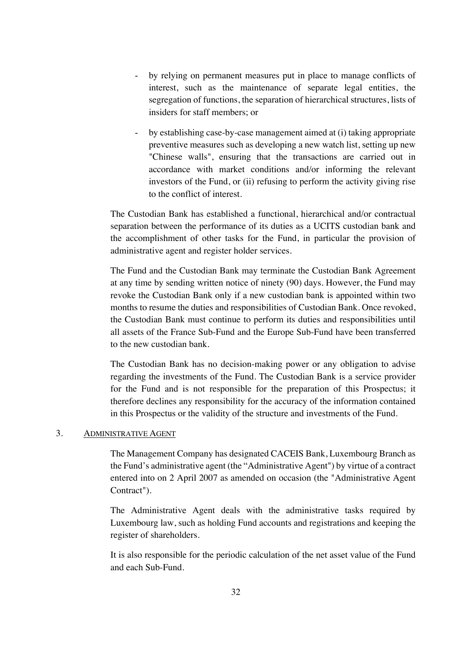- by relying on permanent measures put in place to manage conflicts of interest, such as the maintenance of separate legal entities, the segregation of functions, the separation of hierarchical structures, lists of insiders for staff members; or
- by establishing case-by-case management aimed at (i) taking appropriate preventive measures such as developing a new watch list, setting up new "Chinese walls", ensuring that the transactions are carried out in accordance with market conditions and/or informing the relevant investors of the Fund, or (ii) refusing to perform the activity giving rise to the conflict of interest.

The Custodian Bank has established a functional, hierarchical and/or contractual separation between the performance of its duties as a UCITS custodian bank and the accomplishment of other tasks for the Fund, in particular the provision of administrative agent and register holder services.

The Fund and the Custodian Bank may terminate the Custodian Bank Agreement at any time by sending written notice of ninety (90) days. However, the Fund may revoke the Custodian Bank only if a new custodian bank is appointed within two months to resume the duties and responsibilities of Custodian Bank. Once revoked, the Custodian Bank must continue to perform its duties and responsibilities until all assets of the France Sub-Fund and the Europe Sub-Fund have been transferred to the new custodian bank.

The Custodian Bank has no decision-making power or any obligation to advise regarding the investments of the Fund. The Custodian Bank is a service provider for the Fund and is not responsible for the preparation of this Prospectus; it therefore declines any responsibility for the accuracy of the information contained in this Prospectus or the validity of the structure and investments of the Fund.

### 3. ADMINISTRATIVE AGENT

The Management Company has designated CACEIS Bank, Luxembourg Branch as the Fund's administrative agent (the "Administrative Agent") by virtue of a contract entered into on 2 April 2007 as amended on occasion (the "Administrative Agent Contract").

The Administrative Agent deals with the administrative tasks required by Luxembourg law, such as holding Fund accounts and registrations and keeping the register of shareholders.

It is also responsible for the periodic calculation of the net asset value of the Fund and each Sub-Fund.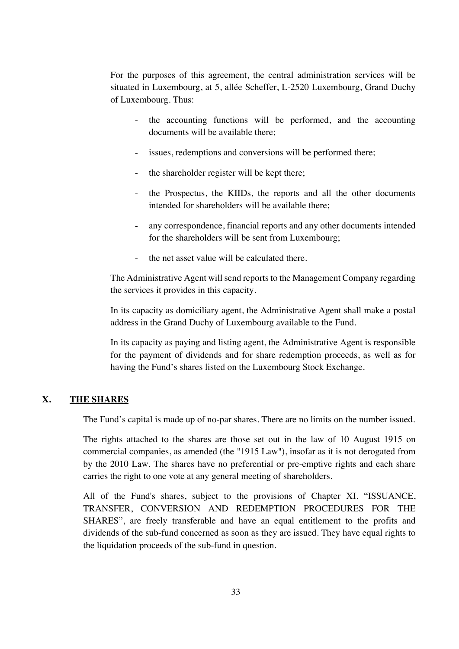For the purposes of this agreement, the central administration services will be situated in Luxembourg, at 5, allée Scheffer, L-2520 Luxembourg, Grand Duchy of Luxembourg. Thus:

- the accounting functions will be performed, and the accounting documents will be available there;
- issues, redemptions and conversions will be performed there;
- the shareholder register will be kept there;
- the Prospectus, the KIIDs, the reports and all the other documents intended for shareholders will be available there;
- any correspondence, financial reports and any other documents intended for the shareholders will be sent from Luxembourg;
- the net asset value will be calculated there.

The Administrative Agent will send reports to the Management Company regarding the services it provides in this capacity.

In its capacity as domiciliary agent, the Administrative Agent shall make a postal address in the Grand Duchy of Luxembourg available to the Fund.

In its capacity as paying and listing agent, the Administrative Agent is responsible for the payment of dividends and for share redemption proceeds, as well as for having the Fund's shares listed on the Luxembourg Stock Exchange.

## **X. THE SHARES**

The Fund's capital is made up of no-par shares. There are no limits on the number issued.

The rights attached to the shares are those set out in the law of 10 August 1915 on commercial companies, as amended (the "1915 Law"), insofar as it is not derogated from by the 2010 Law. The shares have no preferential or pre-emptive rights and each share carries the right to one vote at any general meeting of shareholders.

All of the Fund's shares, subject to the provisions of Chapter XI. "ISSUANCE, TRANSFER, CONVERSION AND REDEMPTION PROCEDURES FOR THE SHARES", are freely transferable and have an equal entitlement to the profits and dividends of the sub-fund concerned as soon as they are issued. They have equal rights to the liquidation proceeds of the sub-fund in question.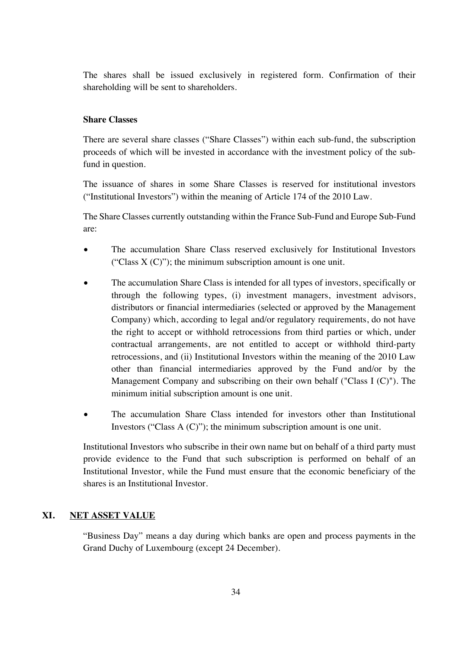The shares shall be issued exclusively in registered form. Confirmation of their shareholding will be sent to shareholders.

## **Share Classes**

There are several share classes ("Share Classes") within each sub-fund, the subscription proceeds of which will be invested in accordance with the investment policy of the subfund in question.

The issuance of shares in some Share Classes is reserved for institutional investors ("Institutional Investors") within the meaning of Article 174 of the 2010 Law.

The Share Classes currently outstanding within the France Sub-Fund and Europe Sub-Fund are:

- The accumulation Share Class reserved exclusively for Institutional Investors ("Class  $X (C)$ "); the minimum subscription amount is one unit.
- The accumulation Share Class is intended for all types of investors, specifically or through the following types, (i) investment managers, investment advisors, distributors or financial intermediaries (selected or approved by the Management Company) which, according to legal and/or regulatory requirements, do not have the right to accept or withhold retrocessions from third parties or which, under contractual arrangements, are not entitled to accept or withhold third-party retrocessions, and (ii) Institutional Investors within the meaning of the 2010 Law other than financial intermediaries approved by the Fund and/or by the Management Company and subscribing on their own behalf ("Class I (C)"). The minimum initial subscription amount is one unit.
- The accumulation Share Class intended for investors other than Institutional Investors ("Class A (C)"); the minimum subscription amount is one unit.

Institutional Investors who subscribe in their own name but on behalf of a third party must provide evidence to the Fund that such subscription is performed on behalf of an Institutional Investor, while the Fund must ensure that the economic beneficiary of the shares is an Institutional Investor.

## **XI. NET ASSET VALUE**

"Business Day" means a day during which banks are open and process payments in the Grand Duchy of Luxembourg (except 24 December).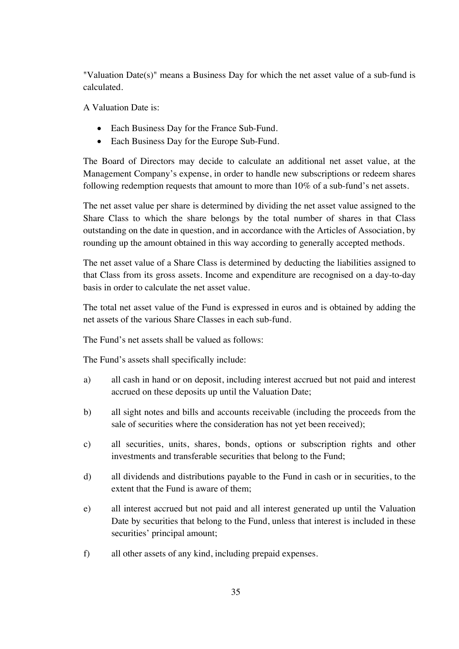"Valuation Date(s)" means a Business Day for which the net asset value of a sub-fund is calculated.

A Valuation Date is:

- Each Business Day for the France Sub-Fund.
- Each Business Day for the Europe Sub-Fund.

The Board of Directors may decide to calculate an additional net asset value, at the Management Company's expense, in order to handle new subscriptions or redeem shares following redemption requests that amount to more than 10% of a sub-fund's net assets.

The net asset value per share is determined by dividing the net asset value assigned to the Share Class to which the share belongs by the total number of shares in that Class outstanding on the date in question, and in accordance with the Articles of Association, by rounding up the amount obtained in this way according to generally accepted methods.

The net asset value of a Share Class is determined by deducting the liabilities assigned to that Class from its gross assets. Income and expenditure are recognised on a day-to-day basis in order to calculate the net asset value.

The total net asset value of the Fund is expressed in euros and is obtained by adding the net assets of the various Share Classes in each sub-fund.

The Fund's net assets shall be valued as follows:

The Fund's assets shall specifically include:

- a) all cash in hand or on deposit, including interest accrued but not paid and interest accrued on these deposits up until the Valuation Date;
- b) all sight notes and bills and accounts receivable (including the proceeds from the sale of securities where the consideration has not yet been received);
- c) all securities, units, shares, bonds, options or subscription rights and other investments and transferable securities that belong to the Fund;
- d) all dividends and distributions payable to the Fund in cash or in securities, to the extent that the Fund is aware of them;
- e) all interest accrued but not paid and all interest generated up until the Valuation Date by securities that belong to the Fund, unless that interest is included in these securities' principal amount;
- f) all other assets of any kind, including prepaid expenses.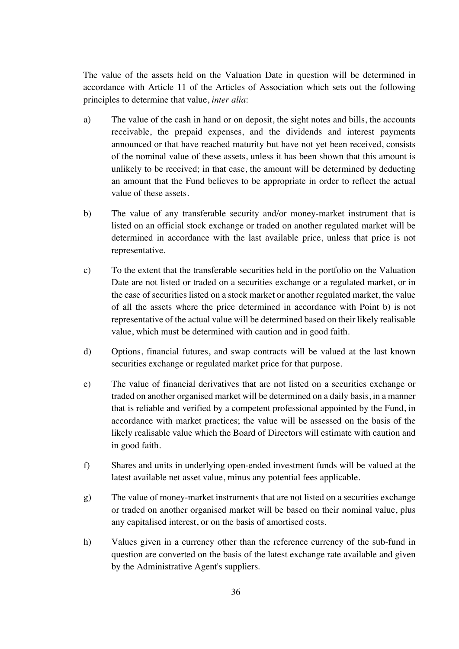The value of the assets held on the Valuation Date in question will be determined in accordance with Article 11 of the Articles of Association which sets out the following principles to determine that value, *inter alia*:

- a) The value of the cash in hand or on deposit, the sight notes and bills, the accounts receivable, the prepaid expenses, and the dividends and interest payments announced or that have reached maturity but have not yet been received, consists of the nominal value of these assets, unless it has been shown that this amount is unlikely to be received; in that case, the amount will be determined by deducting an amount that the Fund believes to be appropriate in order to reflect the actual value of these assets.
- b) The value of any transferable security and/or money-market instrument that is listed on an official stock exchange or traded on another regulated market will be determined in accordance with the last available price, unless that price is not representative.
- c) To the extent that the transferable securities held in the portfolio on the Valuation Date are not listed or traded on a securities exchange or a regulated market, or in the case of securities listed on a stock market or another regulated market, the value of all the assets where the price determined in accordance with Point b) is not representative of the actual value will be determined based on their likely realisable value, which must be determined with caution and in good faith.
- d) Options, financial futures, and swap contracts will be valued at the last known securities exchange or regulated market price for that purpose.
- e) The value of financial derivatives that are not listed on a securities exchange or traded on another organised market will be determined on a daily basis, in a manner that is reliable and verified by a competent professional appointed by the Fund, in accordance with market practices; the value will be assessed on the basis of the likely realisable value which the Board of Directors will estimate with caution and in good faith.
- f) Shares and units in underlying open-ended investment funds will be valued at the latest available net asset value, minus any potential fees applicable.
- g) The value of money-market instruments that are not listed on a securities exchange or traded on another organised market will be based on their nominal value, plus any capitalised interest, or on the basis of amortised costs.
- h) Values given in a currency other than the reference currency of the sub-fund in question are converted on the basis of the latest exchange rate available and given by the Administrative Agent's suppliers.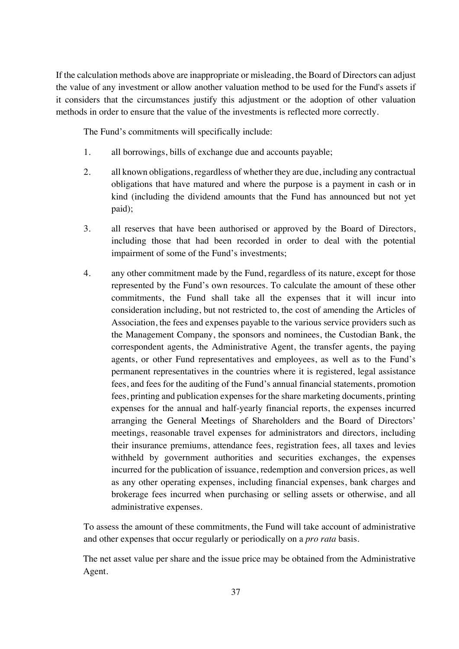If the calculation methods above are inappropriate or misleading, the Board of Directors can adjust the value of any investment or allow another valuation method to be used for the Fund's assets if it considers that the circumstances justify this adjustment or the adoption of other valuation methods in order to ensure that the value of the investments is reflected more correctly.

The Fund's commitments will specifically include:

- 1. all borrowings, bills of exchange due and accounts payable;
- 2. all known obligations, regardless of whether they are due, including any contractual obligations that have matured and where the purpose is a payment in cash or in kind (including the dividend amounts that the Fund has announced but not yet paid);
- 3. all reserves that have been authorised or approved by the Board of Directors, including those that had been recorded in order to deal with the potential impairment of some of the Fund's investments;
- 4. any other commitment made by the Fund, regardless of its nature, except for those represented by the Fund's own resources. To calculate the amount of these other commitments, the Fund shall take all the expenses that it will incur into consideration including, but not restricted to, the cost of amending the Articles of Association, the fees and expenses payable to the various service providers such as the Management Company, the sponsors and nominees, the Custodian Bank, the correspondent agents, the Administrative Agent, the transfer agents, the paying agents, or other Fund representatives and employees, as well as to the Fund's permanent representatives in the countries where it is registered, legal assistance fees, and fees for the auditing of the Fund's annual financial statements, promotion fees, printing and publication expenses for the share marketing documents, printing expenses for the annual and half-yearly financial reports, the expenses incurred arranging the General Meetings of Shareholders and the Board of Directors' meetings, reasonable travel expenses for administrators and directors, including their insurance premiums, attendance fees, registration fees, all taxes and levies withheld by government authorities and securities exchanges, the expenses incurred for the publication of issuance, redemption and conversion prices, as well as any other operating expenses, including financial expenses, bank charges and brokerage fees incurred when purchasing or selling assets or otherwise, and all administrative expenses.

To assess the amount of these commitments, the Fund will take account of administrative and other expenses that occur regularly or periodically on a *pro rata* basis.

The net asset value per share and the issue price may be obtained from the Administrative Agent.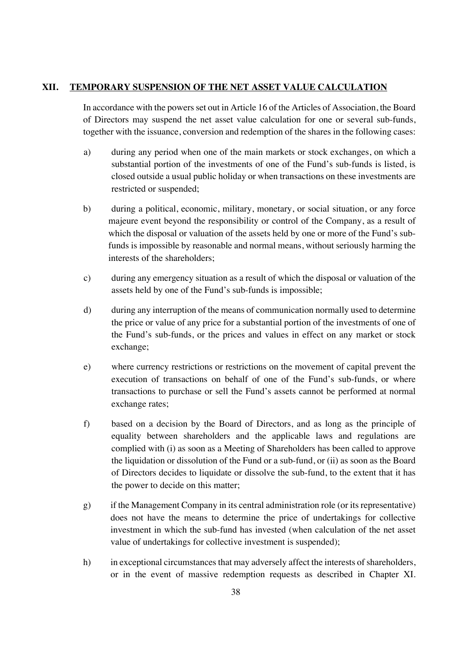## **XII. TEMPORARY SUSPENSION OF THE NET ASSET VALUE CALCULATION**

In accordance with the powers set out in Article 16 of the Articles of Association, the Board of Directors may suspend the net asset value calculation for one or several sub-funds, together with the issuance, conversion and redemption of the shares in the following cases:

- a) during any period when one of the main markets or stock exchanges, on which a substantial portion of the investments of one of the Fund's sub-funds is listed, is closed outside a usual public holiday or when transactions on these investments are restricted or suspended;
- b) during a political, economic, military, monetary, or social situation, or any force majeure event beyond the responsibility or control of the Company, as a result of which the disposal or valuation of the assets held by one or more of the Fund's subfunds is impossible by reasonable and normal means, without seriously harming the interests of the shareholders;
- c) during any emergency situation as a result of which the disposal or valuation of the assets held by one of the Fund's sub-funds is impossible;
- d) during any interruption of the means of communication normally used to determine the price or value of any price for a substantial portion of the investments of one of the Fund's sub-funds, or the prices and values in effect on any market or stock exchange;
- e) where currency restrictions or restrictions on the movement of capital prevent the execution of transactions on behalf of one of the Fund's sub-funds, or where transactions to purchase or sell the Fund's assets cannot be performed at normal exchange rates;
- f) based on a decision by the Board of Directors, and as long as the principle of equality between shareholders and the applicable laws and regulations are complied with (i) as soon as a Meeting of Shareholders has been called to approve the liquidation or dissolution of the Fund or a sub-fund, or (ii) as soon as the Board of Directors decides to liquidate or dissolve the sub-fund, to the extent that it has the power to decide on this matter;
- g) if the Management Company in its central administration role (or its representative) does not have the means to determine the price of undertakings for collective investment in which the sub-fund has invested (when calculation of the net asset value of undertakings for collective investment is suspended);
- h) in exceptional circumstances that may adversely affect the interests of shareholders, or in the event of massive redemption requests as described in Chapter XI.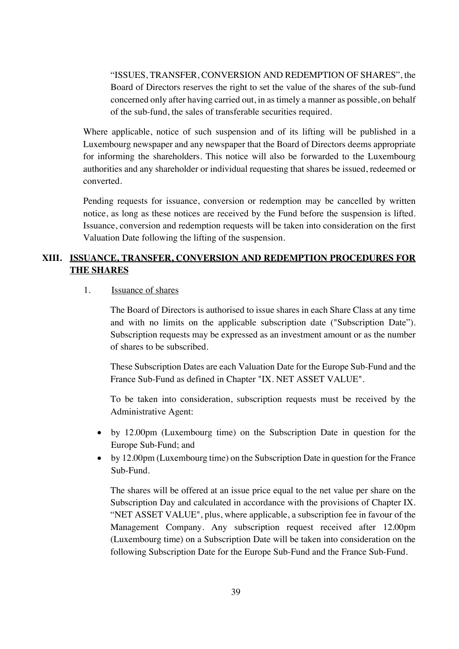"ISSUES, TRANSFER, CONVERSION AND REDEMPTION OF SHARES", the Board of Directors reserves the right to set the value of the shares of the sub-fund concerned only after having carried out, in as timely a manner as possible, on behalf of the sub-fund, the sales of transferable securities required.

Where applicable, notice of such suspension and of its lifting will be published in a Luxembourg newspaper and any newspaper that the Board of Directors deems appropriate for informing the shareholders. This notice will also be forwarded to the Luxembourg authorities and any shareholder or individual requesting that shares be issued, redeemed or converted.

Pending requests for issuance, conversion or redemption may be cancelled by written notice, as long as these notices are received by the Fund before the suspension is lifted. Issuance, conversion and redemption requests will be taken into consideration on the first Valuation Date following the lifting of the suspension.

# **XIII. ISSUANCE, TRANSFER, CONVERSION AND REDEMPTION PROCEDURES FOR THE SHARES**

## 1. Issuance of shares

The Board of Directors is authorised to issue shares in each Share Class at any time and with no limits on the applicable subscription date ("Subscription Date"). Subscription requests may be expressed as an investment amount or as the number of shares to be subscribed.

These Subscription Dates are each Valuation Date for the Europe Sub-Fund and the France Sub-Fund as defined in Chapter "IX. NET ASSET VALUE".

To be taken into consideration, subscription requests must be received by the Administrative Agent:

- by 12.00pm (Luxembourg time) on the Subscription Date in question for the Europe Sub-Fund; and
- by 12.00pm (Luxembourg time) on the Subscription Date in question for the France Sub-Fund.

The shares will be offered at an issue price equal to the net value per share on the Subscription Day and calculated in accordance with the provisions of Chapter IX. "NET ASSET VALUE", plus, where applicable, a subscription fee in favour of the Management Company. Any subscription request received after 12.00pm (Luxembourg time) on a Subscription Date will be taken into consideration on the following Subscription Date for the Europe Sub-Fund and the France Sub-Fund.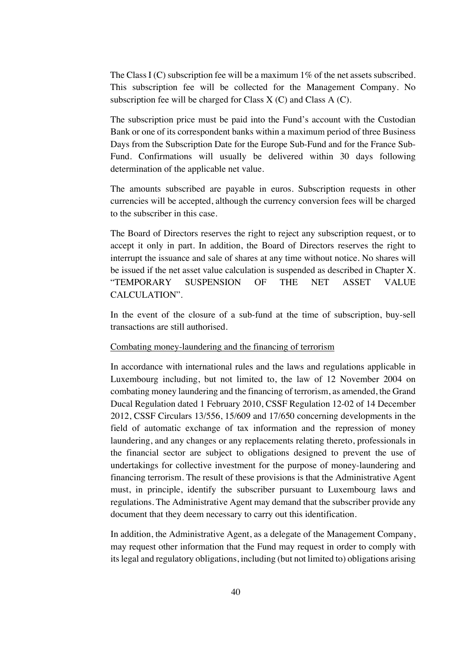The Class I (C) subscription fee will be a maximum  $1\%$  of the net assets subscribed. This subscription fee will be collected for the Management Company. No subscription fee will be charged for Class  $X(C)$  and Class  $A(C)$ .

The subscription price must be paid into the Fund's account with the Custodian Bank or one of its correspondent banks within a maximum period of three Business Days from the Subscription Date for the Europe Sub-Fund and for the France Sub-Fund. Confirmations will usually be delivered within 30 days following determination of the applicable net value.

The amounts subscribed are payable in euros. Subscription requests in other currencies will be accepted, although the currency conversion fees will be charged to the subscriber in this case.

The Board of Directors reserves the right to reject any subscription request, or to accept it only in part. In addition, the Board of Directors reserves the right to interrupt the issuance and sale of shares at any time without notice. No shares will be issued if the net asset value calculation is suspended as described in Chapter X. "TEMPORARY SUSPENSION OF THE NET ASSET VALUE CALCULATION".

In the event of the closure of a sub-fund at the time of subscription, buy-sell transactions are still authorised.

### Combating money-laundering and the financing of terrorism

In accordance with international rules and the laws and regulations applicable in Luxembourg including, but not limited to, the law of 12 November 2004 on combating money laundering and the financing of terrorism, as amended, the Grand Ducal Regulation dated 1 February 2010, CSSF Regulation 12-02 of 14 December 2012, CSSF Circulars 13/556, 15/609 and 17/650 concerning developments in the field of automatic exchange of tax information and the repression of money laundering, and any changes or any replacements relating thereto, professionals in the financial sector are subject to obligations designed to prevent the use of undertakings for collective investment for the purpose of money-laundering and financing terrorism. The result of these provisions is that the Administrative Agent must, in principle, identify the subscriber pursuant to Luxembourg laws and regulations. The Administrative Agent may demand that the subscriber provide any document that they deem necessary to carry out this identification.

In addition, the Administrative Agent, as a delegate of the Management Company, may request other information that the Fund may request in order to comply with its legal and regulatory obligations, including (but not limited to) obligations arising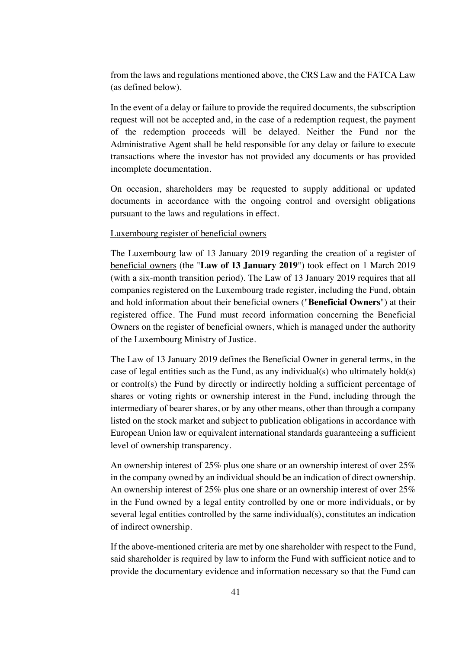from the laws and regulations mentioned above, the CRS Law and the FATCA Law (as defined below).

In the event of a delay or failure to provide the required documents, the subscription request will not be accepted and, in the case of a redemption request, the payment of the redemption proceeds will be delayed. Neither the Fund nor the Administrative Agent shall be held responsible for any delay or failure to execute transactions where the investor has not provided any documents or has provided incomplete documentation.

On occasion, shareholders may be requested to supply additional or updated documents in accordance with the ongoing control and oversight obligations pursuant to the laws and regulations in effect.

### Luxembourg register of beneficial owners

The Luxembourg law of 13 January 2019 regarding the creation of a register of beneficial owners (the "**Law of 13 January 2019**") took effect on 1 March 2019 (with a six-month transition period). The Law of 13 January 2019 requires that all companies registered on the Luxembourg trade register, including the Fund, obtain and hold information about their beneficial owners ("**Beneficial Owners**") at their registered office. The Fund must record information concerning the Beneficial Owners on the register of beneficial owners, which is managed under the authority of the Luxembourg Ministry of Justice.

The Law of 13 January 2019 defines the Beneficial Owner in general terms, in the case of legal entities such as the Fund, as any individual(s) who ultimately hold(s) or control(s) the Fund by directly or indirectly holding a sufficient percentage of shares or voting rights or ownership interest in the Fund, including through the intermediary of bearer shares, or by any other means, other than through a company listed on the stock market and subject to publication obligations in accordance with European Union law or equivalent international standards guaranteeing a sufficient level of ownership transparency.

An ownership interest of 25% plus one share or an ownership interest of over 25% in the company owned by an individual should be an indication of direct ownership. An ownership interest of 25% plus one share or an ownership interest of over 25% in the Fund owned by a legal entity controlled by one or more individuals, or by several legal entities controlled by the same individual(s), constitutes an indication of indirect ownership.

If the above-mentioned criteria are met by one shareholder with respect to the Fund, said shareholder is required by law to inform the Fund with sufficient notice and to provide the documentary evidence and information necessary so that the Fund can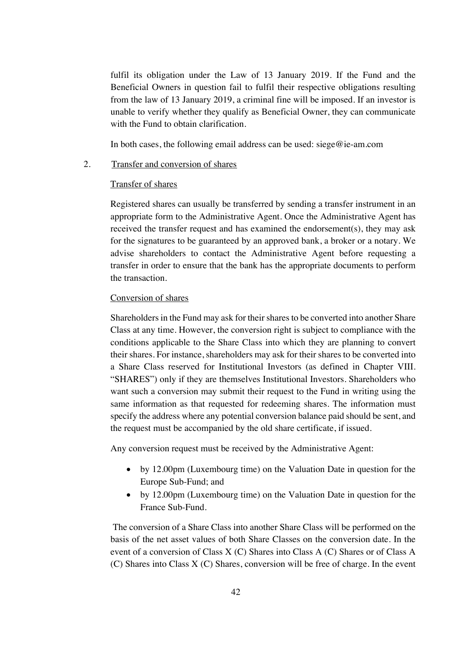fulfil its obligation under the Law of 13 January 2019. If the Fund and the Beneficial Owners in question fail to fulfil their respective obligations resulting from the law of 13 January 2019, a criminal fine will be imposed. If an investor is unable to verify whether they qualify as Beneficial Owner, they can communicate with the Fund to obtain clarification.

In both cases, the following email address can be used: siege@ie-am.com

### 2. Transfer and conversion of shares

### Transfer of shares

Registered shares can usually be transferred by sending a transfer instrument in an appropriate form to the Administrative Agent. Once the Administrative Agent has received the transfer request and has examined the endorsement(s), they may ask for the signatures to be guaranteed by an approved bank, a broker or a notary. We advise shareholders to contact the Administrative Agent before requesting a transfer in order to ensure that the bank has the appropriate documents to perform the transaction.

#### Conversion of shares

Shareholders in the Fund may ask for their shares to be converted into another Share Class at any time. However, the conversion right is subject to compliance with the conditions applicable to the Share Class into which they are planning to convert their shares. For instance, shareholders may ask for their shares to be converted into a Share Class reserved for Institutional Investors (as defined in Chapter VIII. "SHARES") only if they are themselves Institutional Investors. Shareholders who want such a conversion may submit their request to the Fund in writing using the same information as that requested for redeeming shares. The information must specify the address where any potential conversion balance paid should be sent, and the request must be accompanied by the old share certificate, if issued.

Any conversion request must be received by the Administrative Agent:

- by 12.00pm (Luxembourg time) on the Valuation Date in question for the Europe Sub-Fund; and
- by 12.00pm (Luxembourg time) on the Valuation Date in question for the France Sub-Fund.

The conversion of a Share Class into another Share Class will be performed on the basis of the net asset values of both Share Classes on the conversion date. In the event of a conversion of Class X (C) Shares into Class A (C) Shares or of Class A (C) Shares into Class X (C) Shares, conversion will be free of charge. In the event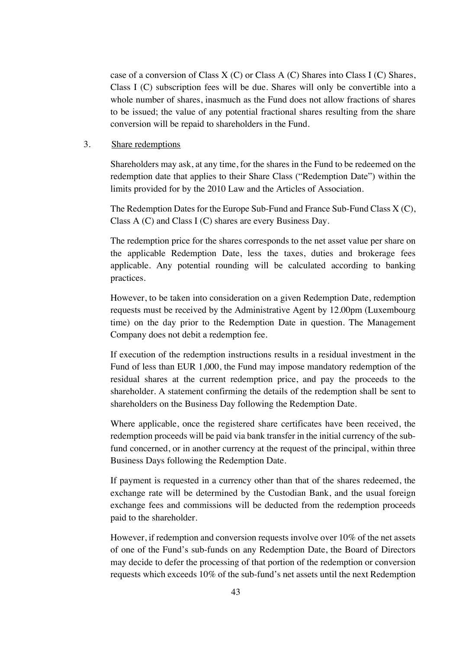case of a conversion of Class  $X(C)$  or Class A (C) Shares into Class I (C) Shares, Class I (C) subscription fees will be due. Shares will only be convertible into a whole number of shares, inasmuch as the Fund does not allow fractions of shares to be issued; the value of any potential fractional shares resulting from the share conversion will be repaid to shareholders in the Fund.

### 3. Share redemptions

Shareholders may ask, at any time, for the shares in the Fund to be redeemed on the redemption date that applies to their Share Class ("Redemption Date") within the limits provided for by the 2010 Law and the Articles of Association.

The Redemption Dates for the Europe Sub-Fund and France Sub-Fund Class X (C), Class A (C) and Class I (C) shares are every Business Day.

The redemption price for the shares corresponds to the net asset value per share on the applicable Redemption Date, less the taxes, duties and brokerage fees applicable. Any potential rounding will be calculated according to banking practices.

However, to be taken into consideration on a given Redemption Date, redemption requests must be received by the Administrative Agent by 12.00pm (Luxembourg time) on the day prior to the Redemption Date in question. The Management Company does not debit a redemption fee.

If execution of the redemption instructions results in a residual investment in the Fund of less than EUR 1,000, the Fund may impose mandatory redemption of the residual shares at the current redemption price, and pay the proceeds to the shareholder. A statement confirming the details of the redemption shall be sent to shareholders on the Business Day following the Redemption Date.

Where applicable, once the registered share certificates have been received, the redemption proceeds will be paid via bank transfer in the initial currency of the subfund concerned, or in another currency at the request of the principal, within three Business Days following the Redemption Date.

If payment is requested in a currency other than that of the shares redeemed, the exchange rate will be determined by the Custodian Bank, and the usual foreign exchange fees and commissions will be deducted from the redemption proceeds paid to the shareholder.

However, if redemption and conversion requests involve over 10% of the net assets of one of the Fund's sub-funds on any Redemption Date, the Board of Directors may decide to defer the processing of that portion of the redemption or conversion requests which exceeds 10% of the sub-fund's net assets until the next Redemption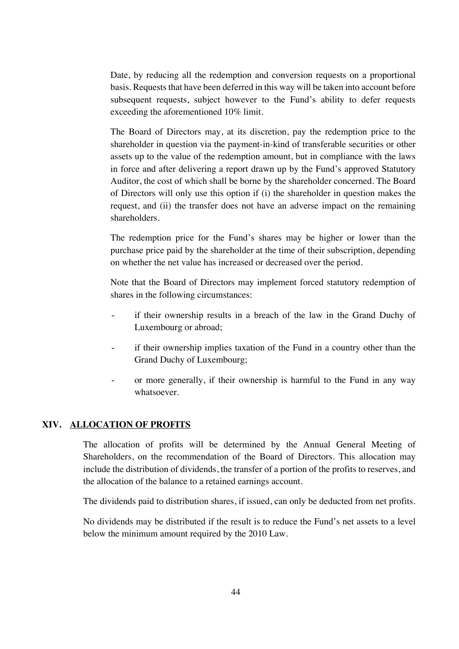Date, by reducing all the redemption and conversion requests on a proportional basis. Requests that have been deferred in this way will be taken into account before subsequent requests, subject however to the Fund's ability to defer requests exceeding the aforementioned 10% limit.

The Board of Directors may, at its discretion, pay the redemption price to the shareholder in question via the payment-in-kind of transferable securities or other assets up to the value of the redemption amount, but in compliance with the laws in force and after delivering a report drawn up by the Fund's approved Statutory Auditor, the cost of which shall be borne by the shareholder concerned. The Board of Directors will only use this option if (i) the shareholder in question makes the request, and (ii) the transfer does not have an adverse impact on the remaining shareholders.

The redemption price for the Fund's shares may be higher or lower than the purchase price paid by the shareholder at the time of their subscription, depending on whether the net value has increased or decreased over the period.

Note that the Board of Directors may implement forced statutory redemption of shares in the following circumstances:

- if their ownership results in a breach of the law in the Grand Duchy of Luxembourg or abroad;
- if their ownership implies taxation of the Fund in a country other than the Grand Duchy of Luxembourg;
- or more generally, if their ownership is harmful to the Fund in any way whatsoever.

## **XIV. ALLOCATION OF PROFITS**

The allocation of profits will be determined by the Annual General Meeting of Shareholders, on the recommendation of the Board of Directors. This allocation may include the distribution of dividends, the transfer of a portion of the profits to reserves, and the allocation of the balance to a retained earnings account.

The dividends paid to distribution shares, if issued, can only be deducted from net profits.

No dividends may be distributed if the result is to reduce the Fund's net assets to a level below the minimum amount required by the 2010 Law.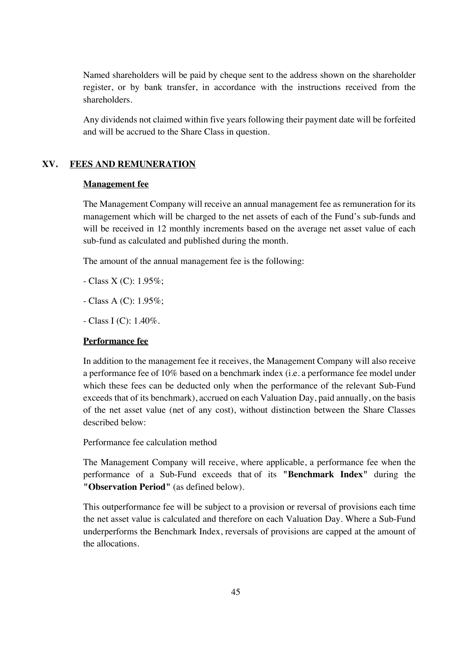Named shareholders will be paid by cheque sent to the address shown on the shareholder register, or by bank transfer, in accordance with the instructions received from the shareholders.

Any dividends not claimed within five years following their payment date will be forfeited and will be accrued to the Share Class in question.

## **XV. FEES AND REMUNERATION**

## **Management fee**

The Management Company will receive an annual management fee as remuneration for its management which will be charged to the net assets of each of the Fund's sub-funds and will be received in 12 monthly increments based on the average net asset value of each sub-fund as calculated and published during the month.

The amount of the annual management fee is the following:

- Class X (C): 1.95%;
- Class A (C): 1.95%;
- $-$  Class I (C): 1.40%.

### **Performance fee**

In addition to the management fee it receives, the Management Company will also receive a performance fee of 10% based on a benchmark index (i.e. a performance fee model under which these fees can be deducted only when the performance of the relevant Sub-Fund exceeds that of its benchmark), accrued on each Valuation Day, paid annually, on the basis of the net asset value (net of any cost), without distinction between the Share Classes described below:

Performance fee calculation method

The Management Company will receive, where applicable, a performance fee when the performance of a Sub-Fund exceeds that of its **"Benchmark Index"** during the **"Observation Period"** (as defined below).

This outperformance fee will be subject to a provision or reversal of provisions each time the net asset value is calculated and therefore on each Valuation Day. Where a Sub-Fund underperforms the Benchmark Index, reversals of provisions are capped at the amount of the allocations.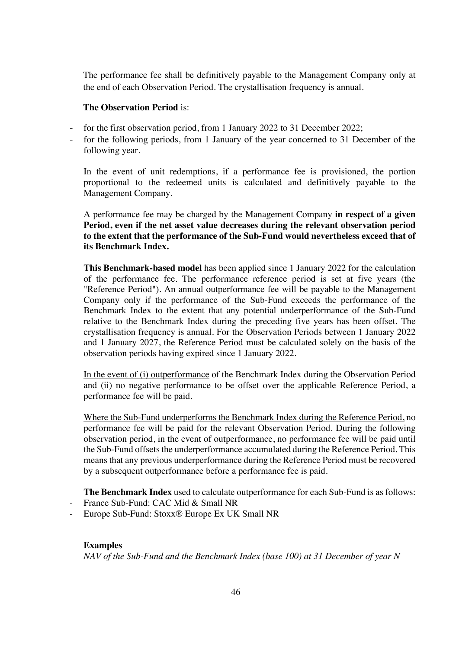The performance fee shall be definitively payable to the Management Company only at the end of each Observation Period. The crystallisation frequency is annual.

## **The Observation Period** is:

- for the first observation period, from 1 January 2022 to 31 December 2022;
- for the following periods, from 1 January of the year concerned to 31 December of the following year.

In the event of unit redemptions, if a performance fee is provisioned, the portion proportional to the redeemed units is calculated and definitively payable to the Management Company.

A performance fee may be charged by the Management Company **in respect of a given Period, even if the net asset value decreases during the relevant observation period to the extent that the performance of the Sub-Fund would nevertheless exceed that of its Benchmark Index.**

**This Benchmark-based model** has been applied since 1 January 2022 for the calculation of the performance fee. The performance reference period is set at five years (the "Reference Period"). An annual outperformance fee will be payable to the Management Company only if the performance of the Sub-Fund exceeds the performance of the Benchmark Index to the extent that any potential underperformance of the Sub-Fund relative to the Benchmark Index during the preceding five years has been offset. The crystallisation frequency is annual. For the Observation Periods between 1 January 2022 and 1 January 2027, the Reference Period must be calculated solely on the basis of the observation periods having expired since 1 January 2022.

In the event of (i) outperformance of the Benchmark Index during the Observation Period and (ii) no negative performance to be offset over the applicable Reference Period, a performance fee will be paid.

Where the Sub-Fund underperforms the Benchmark Index during the Reference Period, no performance fee will be paid for the relevant Observation Period. During the following observation period, in the event of outperformance, no performance fee will be paid until the Sub-Fund offsets the underperformance accumulated during the Reference Period. This means that any previous underperformance during the Reference Period must be recovered by a subsequent outperformance before a performance fee is paid.

**The Benchmark Index** used to calculate outperformance for each Sub-Fund is as follows:

- France Sub-Fund: CAC Mid & Small NR
- Europe Sub-Fund: Stoxx® Europe Ex UK Small NR

## **Examples**

*NAV of the Sub-Fund and the Benchmark Index (base 100) at 31 December of year N*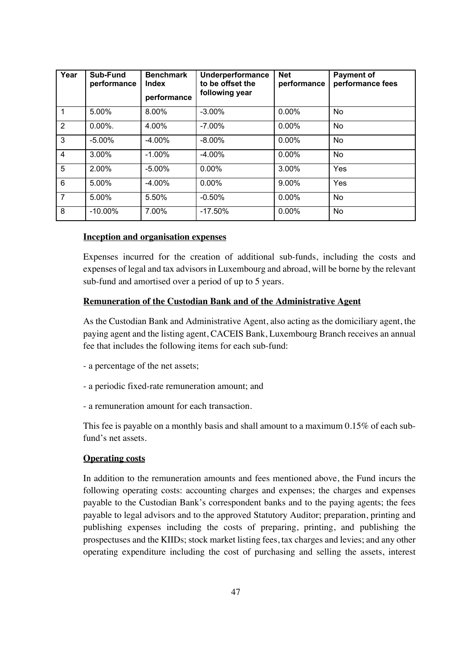| Year            | Sub-Fund<br>performance | <b>Benchmark</b><br>Index<br>performance | Underperformance<br>to be offset the<br>following year | <b>Net</b><br>performance | <b>Payment of</b><br>performance fees |
|-----------------|-------------------------|------------------------------------------|--------------------------------------------------------|---------------------------|---------------------------------------|
|                 | 5.00%                   | 8.00%                                    | $-3.00\%$                                              | 0.00%                     | <b>No</b>                             |
| $\overline{2}$  | $0.00\%$ .              | 4.00%                                    | $-7.00\%$                                              | $0.00\%$                  | <b>No</b>                             |
| 3               | $-5.00\%$               | $-4.00%$                                 | $-8.00\%$                                              | $0.00\%$                  | <b>No</b>                             |
| $\overline{4}$  | 3.00%                   | $-1.00\%$                                | $-4.00%$                                               | $0.00\%$                  | <b>No</b>                             |
| 5               | 2.00%                   | $-5.00\%$                                | $0.00\%$                                               | 3.00%                     | Yes                                   |
| $6\phantom{1}6$ | 5.00%                   | $-4.00%$                                 | $0.00\%$                                               | 9.00%                     | Yes                                   |
| $\overline{7}$  | 5.00%                   | 5.50%                                    | $-0.50%$                                               | 0.00%                     | <b>No</b>                             |
| 8               | $-10.00\%$              | 7.00%                                    | $-17.50%$                                              | $0.00\%$                  | No                                    |

## **Inception and organisation expenses**

Expenses incurred for the creation of additional sub-funds, including the costs and expenses of legal and tax advisors in Luxembourg and abroad, will be borne by the relevant sub-fund and amortised over a period of up to 5 years.

### **Remuneration of the Custodian Bank and of the Administrative Agent**

As the Custodian Bank and Administrative Agent, also acting as the domiciliary agent, the paying agent and the listing agent, CACEIS Bank, Luxembourg Branch receives an annual fee that includes the following items for each sub-fund:

- a percentage of the net assets;
- a periodic fixed-rate remuneration amount; and
- a remuneration amount for each transaction.

This fee is payable on a monthly basis and shall amount to a maximum 0.15% of each subfund's net assets.

### **Operating costs**

In addition to the remuneration amounts and fees mentioned above, the Fund incurs the following operating costs: accounting charges and expenses; the charges and expenses payable to the Custodian Bank's correspondent banks and to the paying agents; the fees payable to legal advisors and to the approved Statutory Auditor; preparation, printing and publishing expenses including the costs of preparing, printing, and publishing the prospectuses and the KIIDs; stock market listing fees, tax charges and levies; and any other operating expenditure including the cost of purchasing and selling the assets, interest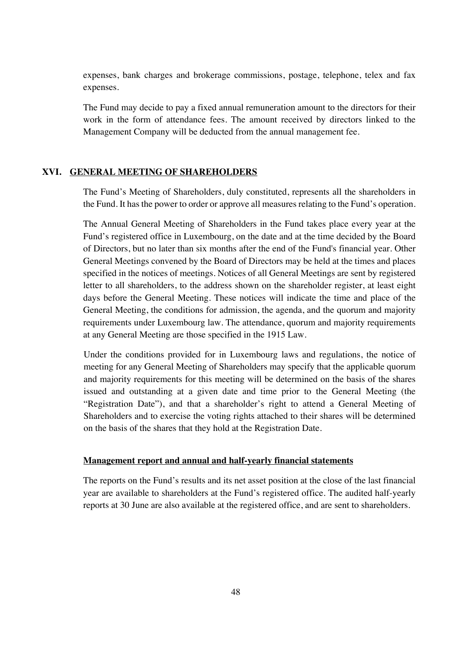expenses, bank charges and brokerage commissions, postage, telephone, telex and fax expenses.

The Fund may decide to pay a fixed annual remuneration amount to the directors for their work in the form of attendance fees. The amount received by directors linked to the Management Company will be deducted from the annual management fee.

### **XVI. GENERAL MEETING OF SHAREHOLDERS**

The Fund's Meeting of Shareholders, duly constituted, represents all the shareholders in the Fund. It has the power to order or approve all measures relating to the Fund's operation.

The Annual General Meeting of Shareholders in the Fund takes place every year at the Fund's registered office in Luxembourg, on the date and at the time decided by the Board of Directors, but no later than six months after the end of the Fund's financial year. Other General Meetings convened by the Board of Directors may be held at the times and places specified in the notices of meetings. Notices of all General Meetings are sent by registered letter to all shareholders, to the address shown on the shareholder register, at least eight days before the General Meeting. These notices will indicate the time and place of the General Meeting, the conditions for admission, the agenda, and the quorum and majority requirements under Luxembourg law. The attendance, quorum and majority requirements at any General Meeting are those specified in the 1915 Law.

Under the conditions provided for in Luxembourg laws and regulations, the notice of meeting for any General Meeting of Shareholders may specify that the applicable quorum and majority requirements for this meeting will be determined on the basis of the shares issued and outstanding at a given date and time prior to the General Meeting (the "Registration Date"), and that a shareholder's right to attend a General Meeting of Shareholders and to exercise the voting rights attached to their shares will be determined on the basis of the shares that they hold at the Registration Date.

### **Management report and annual and half-yearly financial statements**

The reports on the Fund's results and its net asset position at the close of the last financial year are available to shareholders at the Fund's registered office. The audited half-yearly reports at 30 June are also available at the registered office, and are sent to shareholders.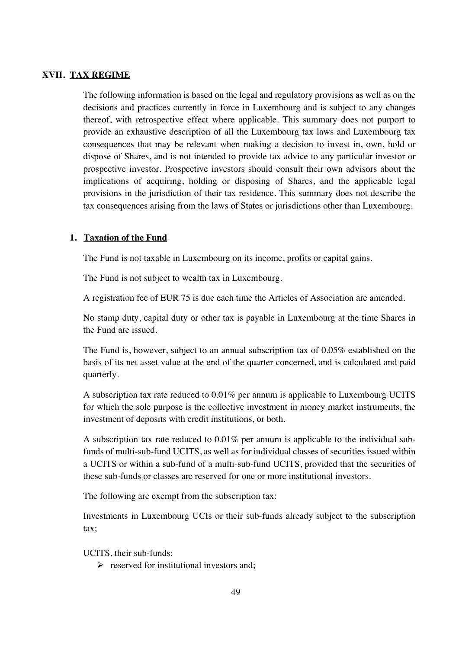### **XVII. TAX REGIME**

The following information is based on the legal and regulatory provisions as well as on the decisions and practices currently in force in Luxembourg and is subject to any changes thereof, with retrospective effect where applicable. This summary does not purport to provide an exhaustive description of all the Luxembourg tax laws and Luxembourg tax consequences that may be relevant when making a decision to invest in, own, hold or dispose of Shares, and is not intended to provide tax advice to any particular investor or prospective investor. Prospective investors should consult their own advisors about the implications of acquiring, holding or disposing of Shares, and the applicable legal provisions in the jurisdiction of their tax residence. This summary does not describe the tax consequences arising from the laws of States or jurisdictions other than Luxembourg.

#### **1. Taxation of the Fund**

The Fund is not taxable in Luxembourg on its income, profits or capital gains.

The Fund is not subject to wealth tax in Luxembourg.

A registration fee of EUR 75 is due each time the Articles of Association are amended.

No stamp duty, capital duty or other tax is payable in Luxembourg at the time Shares in the Fund are issued.

The Fund is, however, subject to an annual subscription tax of 0.05% established on the basis of its net asset value at the end of the quarter concerned, and is calculated and paid quarterly.

A subscription tax rate reduced to 0.01% per annum is applicable to Luxembourg UCITS for which the sole purpose is the collective investment in money market instruments, the investment of deposits with credit institutions, or both.

A subscription tax rate reduced to 0.01% per annum is applicable to the individual subfunds of multi-sub-fund UCITS, as well as for individual classes of securities issued within a UCITS or within a sub-fund of a multi-sub-fund UCITS, provided that the securities of these sub-funds or classes are reserved for one or more institutional investors.

The following are exempt from the subscription tax:

Investments in Luxembourg UCIs or their sub-funds already subject to the subscription tax;

UCITS, their sub-funds:

 $\triangleright$  reserved for institutional investors and: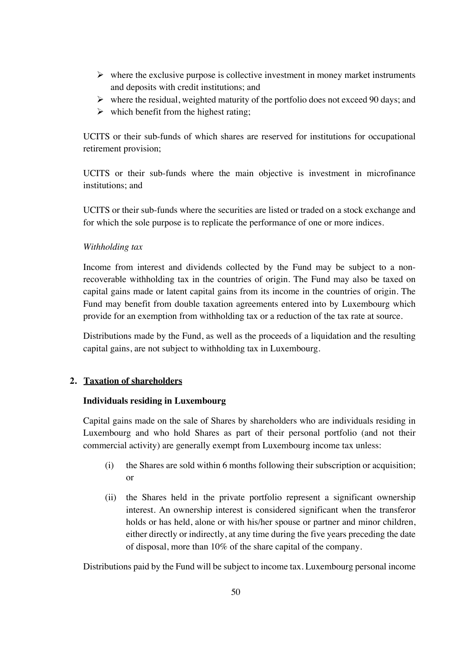- $\triangleright$  where the exclusive purpose is collective investment in money market instruments and deposits with credit institutions; and
- $\triangleright$  where the residual, weighted maturity of the portfolio does not exceed 90 days; and
- $\triangleright$  which benefit from the highest rating;

UCITS or their sub-funds of which shares are reserved for institutions for occupational retirement provision;

UCITS or their sub-funds where the main objective is investment in microfinance institutions; and

UCITS or their sub-funds where the securities are listed or traded on a stock exchange and for which the sole purpose is to replicate the performance of one or more indices.

## *Withholding tax*

Income from interest and dividends collected by the Fund may be subject to a nonrecoverable withholding tax in the countries of origin. The Fund may also be taxed on capital gains made or latent capital gains from its income in the countries of origin. The Fund may benefit from double taxation agreements entered into by Luxembourg which provide for an exemption from withholding tax or a reduction of the tax rate at source.

Distributions made by the Fund, as well as the proceeds of a liquidation and the resulting capital gains, are not subject to withholding tax in Luxembourg.

# **2. Taxation of shareholders**

## **Individuals residing in Luxembourg**

Capital gains made on the sale of Shares by shareholders who are individuals residing in Luxembourg and who hold Shares as part of their personal portfolio (and not their commercial activity) are generally exempt from Luxembourg income tax unless:

- (i) the Shares are sold within 6 months following their subscription or acquisition; or
- (ii) the Shares held in the private portfolio represent a significant ownership interest. An ownership interest is considered significant when the transferor holds or has held, alone or with his/her spouse or partner and minor children, either directly or indirectly, at any time during the five years preceding the date of disposal, more than 10% of the share capital of the company.

Distributions paid by the Fund will be subject to income tax. Luxembourg personal income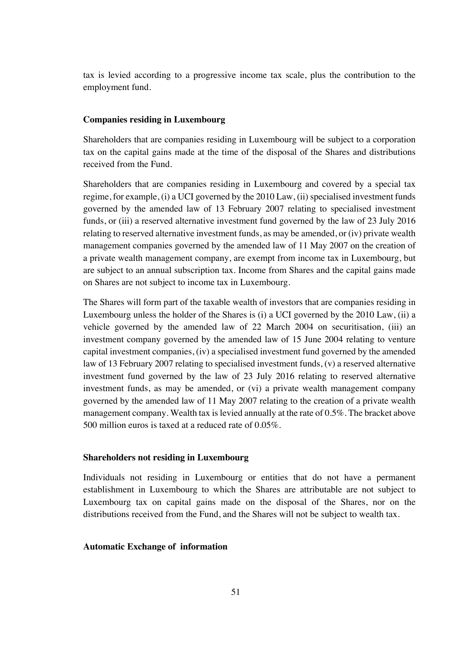tax is levied according to a progressive income tax scale, plus the contribution to the employment fund.

#### **Companies residing in Luxembourg**

Shareholders that are companies residing in Luxembourg will be subject to a corporation tax on the capital gains made at the time of the disposal of the Shares and distributions received from the Fund.

Shareholders that are companies residing in Luxembourg and covered by a special tax regime, for example, (i) a UCI governed by the 2010 Law, (ii) specialised investment funds governed by the amended law of 13 February 2007 relating to specialised investment funds, or (iii) a reserved alternative investment fund governed by the law of 23 July 2016 relating to reserved alternative investment funds, as may be amended, or (iv) private wealth management companies governed by the amended law of 11 May 2007 on the creation of a private wealth management company, are exempt from income tax in Luxembourg, but are subject to an annual subscription tax. Income from Shares and the capital gains made on Shares are not subject to income tax in Luxembourg.

The Shares will form part of the taxable wealth of investors that are companies residing in Luxembourg unless the holder of the Shares is (i) a UCI governed by the 2010 Law, (ii) a vehicle governed by the amended law of 22 March 2004 on securitisation, (iii) an investment company governed by the amended law of 15 June 2004 relating to venture capital investment companies, (iv) a specialised investment fund governed by the amended law of 13 February 2007 relating to specialised investment funds, (v) a reserved alternative investment fund governed by the law of 23 July 2016 relating to reserved alternative investment funds, as may be amended, or (vi) a private wealth management company governed by the amended law of 11 May 2007 relating to the creation of a private wealth management company. Wealth tax is levied annually at the rate of 0.5%. The bracket above 500 million euros is taxed at a reduced rate of 0.05%.

#### **Shareholders not residing in Luxembourg**

Individuals not residing in Luxembourg or entities that do not have a permanent establishment in Luxembourg to which the Shares are attributable are not subject to Luxembourg tax on capital gains made on the disposal of the Shares, nor on the distributions received from the Fund, and the Shares will not be subject to wealth tax.

### **Automatic Exchange of information**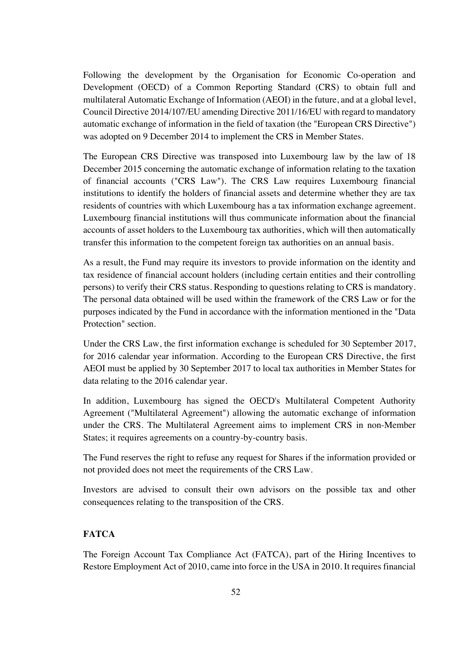Following the development by the Organisation for Economic Co-operation and Development (OECD) of a Common Reporting Standard (CRS) to obtain full and multilateral Automatic Exchange of Information (AEOI) in the future, and at a global level, Council Directive 2014/107/EU amending Directive 2011/16/EU with regard to mandatory automatic exchange of information in the field of taxation (the "European CRS Directive") was adopted on 9 December 2014 to implement the CRS in Member States.

The European CRS Directive was transposed into Luxembourg law by the law of 18 December 2015 concerning the automatic exchange of information relating to the taxation of financial accounts ("CRS Law"). The CRS Law requires Luxembourg financial institutions to identify the holders of financial assets and determine whether they are tax residents of countries with which Luxembourg has a tax information exchange agreement. Luxembourg financial institutions will thus communicate information about the financial accounts of asset holders to the Luxembourg tax authorities, which will then automatically transfer this information to the competent foreign tax authorities on an annual basis.

As a result, the Fund may require its investors to provide information on the identity and tax residence of financial account holders (including certain entities and their controlling persons) to verify their CRS status. Responding to questions relating to CRS is mandatory. The personal data obtained will be used within the framework of the CRS Law or for the purposes indicated by the Fund in accordance with the information mentioned in the "Data Protection" section.

Under the CRS Law, the first information exchange is scheduled for 30 September 2017, for 2016 calendar year information. According to the European CRS Directive, the first AEOI must be applied by 30 September 2017 to local tax authorities in Member States for data relating to the 2016 calendar year.

In addition, Luxembourg has signed the OECD's Multilateral Competent Authority Agreement ("Multilateral Agreement") allowing the automatic exchange of information under the CRS. The Multilateral Agreement aims to implement CRS in non-Member States; it requires agreements on a country-by-country basis.

The Fund reserves the right to refuse any request for Shares if the information provided or not provided does not meet the requirements of the CRS Law.

Investors are advised to consult their own advisors on the possible tax and other consequences relating to the transposition of the CRS.

## **FATCA**

The Foreign Account Tax Compliance Act (FATCA), part of the Hiring Incentives to Restore Employment Act of 2010, came into force in the USA in 2010. It requires financial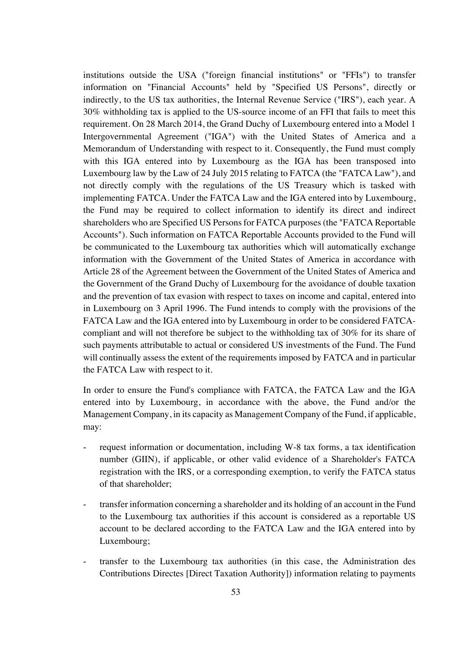institutions outside the USA ("foreign financial institutions" or "FFIs") to transfer information on "Financial Accounts" held by "Specified US Persons", directly or indirectly, to the US tax authorities, the Internal Revenue Service ("IRS"), each year. A 30% withholding tax is applied to the US-source income of an FFI that fails to meet this requirement. On 28 March 2014, the Grand Duchy of Luxembourg entered into a Model 1 Intergovernmental Agreement ("IGA") with the United States of America and a Memorandum of Understanding with respect to it. Consequently, the Fund must comply with this IGA entered into by Luxembourg as the IGA has been transposed into Luxembourg law by the Law of 24 July 2015 relating to FATCA (the "FATCA Law"), and not directly comply with the regulations of the US Treasury which is tasked with implementing FATCA. Under the FATCA Law and the IGA entered into by Luxembourg, the Fund may be required to collect information to identify its direct and indirect shareholders who are Specified US Persons for FATCA purposes (the "FATCA Reportable Accounts"). Such information on FATCA Reportable Accounts provided to the Fund will be communicated to the Luxembourg tax authorities which will automatically exchange information with the Government of the United States of America in accordance with Article 28 of the Agreement between the Government of the United States of America and the Government of the Grand Duchy of Luxembourg for the avoidance of double taxation and the prevention of tax evasion with respect to taxes on income and capital, entered into in Luxembourg on 3 April 1996. The Fund intends to comply with the provisions of the FATCA Law and the IGA entered into by Luxembourg in order to be considered FATCAcompliant and will not therefore be subject to the withholding tax of 30% for its share of such payments attributable to actual or considered US investments of the Fund. The Fund will continually assess the extent of the requirements imposed by FATCA and in particular the FATCA Law with respect to it.

In order to ensure the Fund's compliance with FATCA, the FATCA Law and the IGA entered into by Luxembourg, in accordance with the above, the Fund and/or the Management Company, in its capacity as Management Company of the Fund, if applicable, may:

- request information or documentation, including W-8 tax forms, a tax identification number (GIIN), if applicable, or other valid evidence of a Shareholder's FATCA registration with the IRS, or a corresponding exemption, to verify the FATCA status of that shareholder;
- transfer information concerning a shareholder and its holding of an account in the Fund to the Luxembourg tax authorities if this account is considered as a reportable US account to be declared according to the FATCA Law and the IGA entered into by Luxembourg;
- transfer to the Luxembourg tax authorities (in this case, the Administration des Contributions Directes [Direct Taxation Authority]) information relating to payments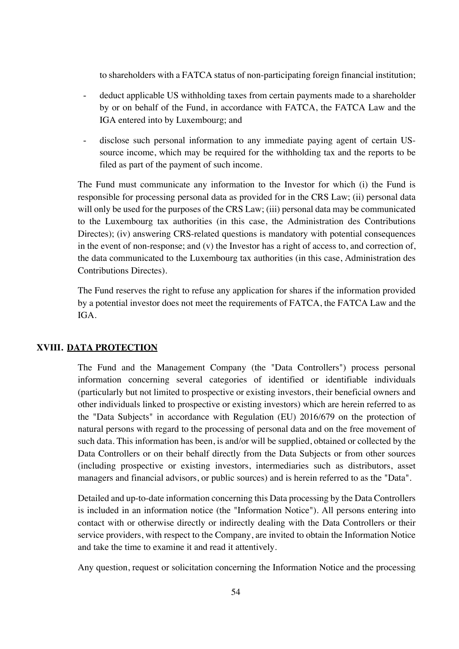to shareholders with a FATCA status of non-participating foreign financial institution;

- deduct applicable US withholding taxes from certain payments made to a shareholder by or on behalf of the Fund, in accordance with FATCA, the FATCA Law and the IGA entered into by Luxembourg; and
- disclose such personal information to any immediate paying agent of certain USsource income, which may be required for the withholding tax and the reports to be filed as part of the payment of such income.

The Fund must communicate any information to the Investor for which (i) the Fund is responsible for processing personal data as provided for in the CRS Law; (ii) personal data will only be used for the purposes of the CRS Law; (iii) personal data may be communicated to the Luxembourg tax authorities (in this case, the Administration des Contributions Directes); (iv) answering CRS-related questions is mandatory with potential consequences in the event of non-response; and (v) the Investor has a right of access to, and correction of, the data communicated to the Luxembourg tax authorities (in this case, Administration des Contributions Directes).

The Fund reserves the right to refuse any application for shares if the information provided by a potential investor does not meet the requirements of FATCA, the FATCA Law and the IGA.

## **XVIII. DATA PROTECTION**

The Fund and the Management Company (the "Data Controllers") process personal information concerning several categories of identified or identifiable individuals (particularly but not limited to prospective or existing investors, their beneficial owners and other individuals linked to prospective or existing investors) which are herein referred to as the "Data Subjects" in accordance with Regulation (EU) 2016/679 on the protection of natural persons with regard to the processing of personal data and on the free movement of such data. This information has been, is and/or will be supplied, obtained or collected by the Data Controllers or on their behalf directly from the Data Subjects or from other sources (including prospective or existing investors, intermediaries such as distributors, asset managers and financial advisors, or public sources) and is herein referred to as the "Data".

Detailed and up-to-date information concerning this Data processing by the Data Controllers is included in an information notice (the "Information Notice"). All persons entering into contact with or otherwise directly or indirectly dealing with the Data Controllers or their service providers, with respect to the Company, are invited to obtain the Information Notice and take the time to examine it and read it attentively.

Any question, request or solicitation concerning the Information Notice and the processing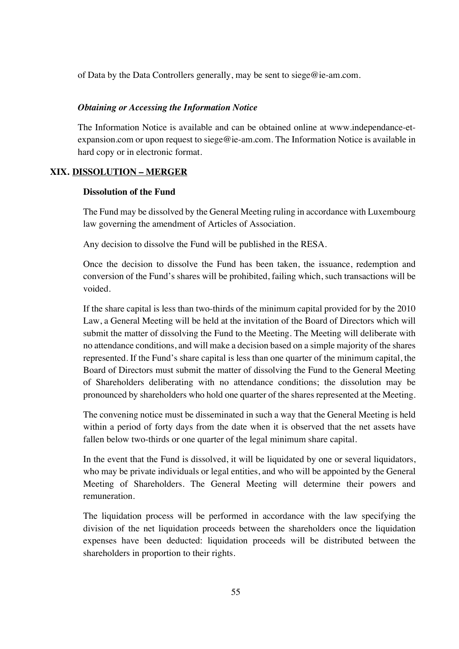of Data by the Data Controllers generally, may be sent to siege@ie-am.com.

### *Obtaining or Accessing the Information Notice*

The Information Notice is available and can be obtained online at www.independance-etexpansion.com or upon request to siege@ie-am.com. The Information Notice is available in hard copy or in electronic format.

### **XIX. DISSOLUTION – MERGER**

### **Dissolution of the Fund**

The Fund may be dissolved by the General Meeting ruling in accordance with Luxembourg law governing the amendment of Articles of Association.

Any decision to dissolve the Fund will be published in the RESA.

Once the decision to dissolve the Fund has been taken, the issuance, redemption and conversion of the Fund's shares will be prohibited, failing which, such transactions will be voided.

If the share capital is less than two-thirds of the minimum capital provided for by the 2010 Law, a General Meeting will be held at the invitation of the Board of Directors which will submit the matter of dissolving the Fund to the Meeting. The Meeting will deliberate with no attendance conditions, and will make a decision based on a simple majority of the shares represented. If the Fund's share capital is less than one quarter of the minimum capital, the Board of Directors must submit the matter of dissolving the Fund to the General Meeting of Shareholders deliberating with no attendance conditions; the dissolution may be pronounced by shareholders who hold one quarter of the shares represented at the Meeting.

The convening notice must be disseminated in such a way that the General Meeting is held within a period of forty days from the date when it is observed that the net assets have fallen below two-thirds or one quarter of the legal minimum share capital.

In the event that the Fund is dissolved, it will be liquidated by one or several liquidators, who may be private individuals or legal entities, and who will be appointed by the General Meeting of Shareholders. The General Meeting will determine their powers and remuneration.

The liquidation process will be performed in accordance with the law specifying the division of the net liquidation proceeds between the shareholders once the liquidation expenses have been deducted: liquidation proceeds will be distributed between the shareholders in proportion to their rights.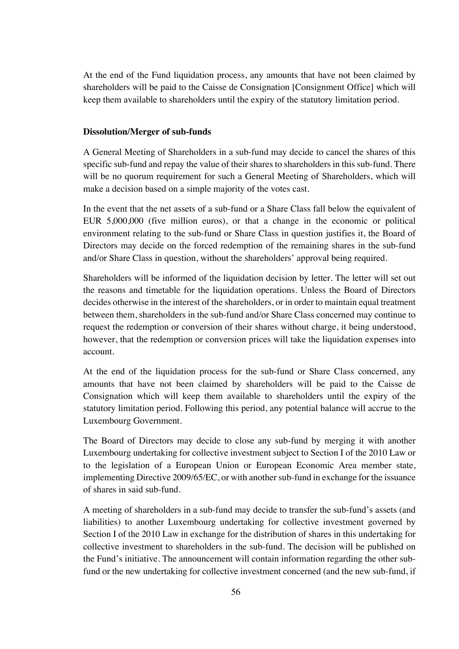At the end of the Fund liquidation process, any amounts that have not been claimed by shareholders will be paid to the Caisse de Consignation [Consignment Office] which will keep them available to shareholders until the expiry of the statutory limitation period.

### **Dissolution/Merger of sub-funds**

A General Meeting of Shareholders in a sub-fund may decide to cancel the shares of this specific sub-fund and repay the value of their shares to shareholders in this sub-fund. There will be no quorum requirement for such a General Meeting of Shareholders, which will make a decision based on a simple majority of the votes cast.

In the event that the net assets of a sub-fund or a Share Class fall below the equivalent of EUR 5,000,000 (five million euros), or that a change in the economic or political environment relating to the sub-fund or Share Class in question justifies it, the Board of Directors may decide on the forced redemption of the remaining shares in the sub-fund and/or Share Class in question, without the shareholders' approval being required.

Shareholders will be informed of the liquidation decision by letter. The letter will set out the reasons and timetable for the liquidation operations. Unless the Board of Directors decides otherwise in the interest of the shareholders, or in order to maintain equal treatment between them, shareholders in the sub-fund and/or Share Class concerned may continue to request the redemption or conversion of their shares without charge, it being understood, however, that the redemption or conversion prices will take the liquidation expenses into account.

At the end of the liquidation process for the sub-fund or Share Class concerned, any amounts that have not been claimed by shareholders will be paid to the Caisse de Consignation which will keep them available to shareholders until the expiry of the statutory limitation period. Following this period, any potential balance will accrue to the Luxembourg Government.

The Board of Directors may decide to close any sub-fund by merging it with another Luxembourg undertaking for collective investment subject to Section I of the 2010 Law or to the legislation of a European Union or European Economic Area member state, implementing Directive 2009/65/EC, or with another sub-fund in exchange for the issuance of shares in said sub-fund.

A meeting of shareholders in a sub-fund may decide to transfer the sub-fund's assets (and liabilities) to another Luxembourg undertaking for collective investment governed by Section I of the 2010 Law in exchange for the distribution of shares in this undertaking for collective investment to shareholders in the sub-fund. The decision will be published on the Fund's initiative. The announcement will contain information regarding the other subfund or the new undertaking for collective investment concerned (and the new sub-fund, if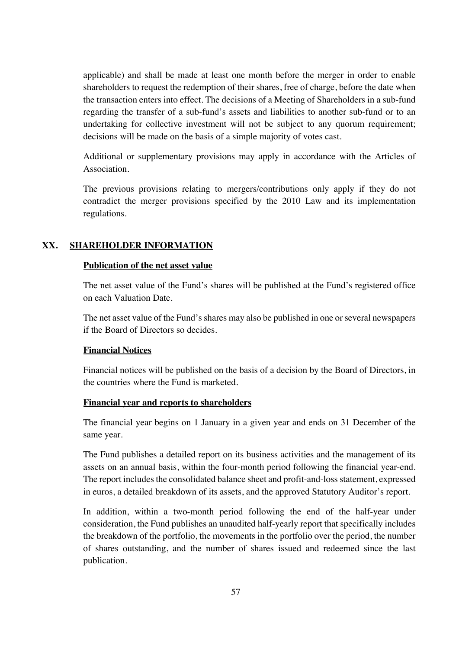applicable) and shall be made at least one month before the merger in order to enable shareholders to request the redemption of their shares, free of charge, before the date when the transaction enters into effect. The decisions of a Meeting of Shareholders in a sub-fund regarding the transfer of a sub-fund's assets and liabilities to another sub-fund or to an undertaking for collective investment will not be subject to any quorum requirement; decisions will be made on the basis of a simple majority of votes cast.

Additional or supplementary provisions may apply in accordance with the Articles of Association.

The previous provisions relating to mergers/contributions only apply if they do not contradict the merger provisions specified by the 2010 Law and its implementation regulations.

## **XX. SHAREHOLDER INFORMATION**

## **Publication of the net asset value**

The net asset value of the Fund's shares will be published at the Fund's registered office on each Valuation Date.

The net asset value of the Fund's shares may also be published in one or several newspapers if the Board of Directors so decides.

## **Financial Notices**

Financial notices will be published on the basis of a decision by the Board of Directors, in the countries where the Fund is marketed.

## **Financial year and reports to shareholders**

The financial year begins on 1 January in a given year and ends on 31 December of the same year.

The Fund publishes a detailed report on its business activities and the management of its assets on an annual basis, within the four-month period following the financial year-end. The report includes the consolidated balance sheet and profit-and-loss statement, expressed in euros, a detailed breakdown of its assets, and the approved Statutory Auditor's report.

In addition, within a two-month period following the end of the half-year under consideration, the Fund publishes an unaudited half-yearly report that specifically includes the breakdown of the portfolio, the movements in the portfolio over the period, the number of shares outstanding, and the number of shares issued and redeemed since the last publication.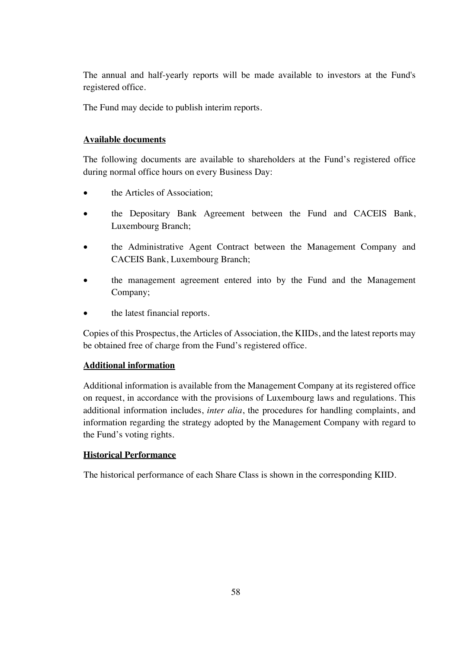The annual and half-yearly reports will be made available to investors at the Fund's registered office.

The Fund may decide to publish interim reports.

## **Available documents**

The following documents are available to shareholders at the Fund's registered office during normal office hours on every Business Day:

- the Articles of Association:
- the Depositary Bank Agreement between the Fund and CACEIS Bank, Luxembourg Branch;
- the Administrative Agent Contract between the Management Company and CACEIS Bank, Luxembourg Branch;
- the management agreement entered into by the Fund and the Management Company;
- the latest financial reports.

Copies of this Prospectus, the Articles of Association, the KIIDs, and the latest reports may be obtained free of charge from the Fund's registered office.

## **Additional information**

Additional information is available from the Management Company at its registered office on request, in accordance with the provisions of Luxembourg laws and regulations. This additional information includes, *inter alia*, the procedures for handling complaints, and information regarding the strategy adopted by the Management Company with regard to the Fund's voting rights.

# **Historical Performance**

The historical performance of each Share Class is shown in the corresponding KIID.